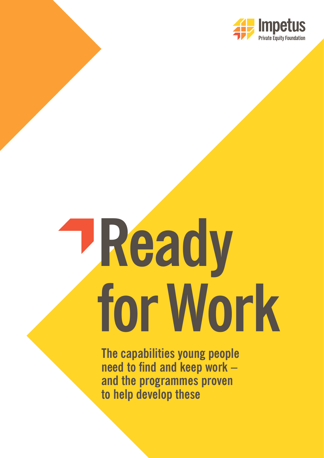

# **Ready for Work**

**The capabilities young people need to find and keep work – and the programmes proven to help develop these**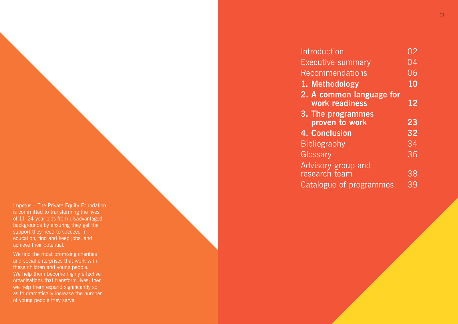Impetus – The Private Equity Foundation is committed to transforming the lives of 11–24 year olds from disadvantaged backgrounds by ensuring they get the support they need to succeed in education, find and keep jobs, and achieve their potential.

We find the most promising charities and social enterprises that work with these children and young people. We help them become highly effective organisations that transform lives; then we help them expand significantly so as to dramatically increase the number of young people they serve.

**Introduction** Executive sur Recommenda

- **1. Methodol**
- **2. A common** work read
- **3. The program** proven to
- **4. Conclusio**
- **Bibliography** Glossary
- Advisory grou research team
- 
- Catalogue of programmes

|                          | OZ.             |
|--------------------------|-----------------|
| <u>mmary</u>             | 04              |
| <u>ations</u>            | 06              |
| ogy                      | 10              |
| n language for<br>liness | 12              |
| ammes<br>work            | 23              |
| n                        | $\overline{32}$ |
|                          | 34              |
|                          | 36              |
| up and                   |                 |
| ่าา                      | 38              |
| $\mathbf{r}$<br>$\sim$   | 20              |

 $\sim$  01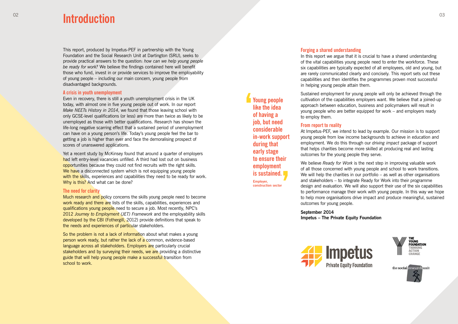This report, produced by Impetus-PEF in partnership with the Young Foundation and the Social Research Unit at Dartington (SRU), seeks to provide practical answers to the question: *how can we help young people be ready for work?* We believe the findings contained here will benefit those who fund, invest in or provide services to improve the employability of young people – including our main concern, young people from disadvantaged backgrounds.

#### **A crisis in youth unemployment**

Yet a recent study by McKinsey found that around a quarter of employers had left entry-level vacancies unfilled. A third had lost out on business opportunities because they could not find recruits with the right skills. We have a disconnected system which is not equipping young people with the skills, experiences and capabilities they need to be ready for work. Why is this? And what can be done?

Even in recovery, there is still a youth unemployment crisis in the UK today, with almost one in five young people out of work. In our report *Make NEETs History in 2014*, we found that those leaving school with only GCSE-level qualifications (or less) are more than twice as likely to be unemployed as those with better qualifications. Research has shown the life-long negative scarring effect that a sustained period of unemployment can have on a young person's life. Today's young people feel the bar to getting a job is higher than ever and face the demoralising prospect of scores of unanswered applications.

Much research and policy concerns the skills young people need to become work ready and there are lists of the skills, capabilities, experiences and qualifications young people need to secure a job. Most recently, NPC's 2012 *Journey to Employment (JET) Framework* and the employability skills developed by the CBI (Fothergill, 2012) provide definitions that speak to the needs and experiences of particular stakeholders.

So the problem is not a lack of information about what makes a young person work ready, but rather the lack of a common, evidence-based language across all stakeholders. Employers are particularly crucial stakeholders and by surveying their needs, we are providing a distinctive guide that will help young people make a successful transition from school to work.

#### **The need for clarity**

# 02 03 **Introduction**

#### **Forging a shared understanding**

In this report we argue that it is crucial to have a shared understanding of the vital capabilities young people need to enter the workforce. These six capabilities are typically expected of all employees, old and young, but are rarely communicated clearly and concisely. This report sets out these capabilities and then identifies the programmes proven most successful in helping young people attain them.

Sustained employment for young people will only be achieved through the cultivation of the capabilities employers want. We believe that a joined-up approach between education, business and policymakers will result in young people who are better equipped for work – and employers ready to employ them.

#### **From report to reality**

At Impetus-PEF, we intend to lead by example. Our mission is to support young people from low income backgrounds to achieve in education and employment. We do this through our *driving impact* package of support that helps charities become more skilled at producing real and lasting outcomes for the young people they serve.

We believe *Ready for Work* is the next step in improving valuable work of all those concerned with young people and school to work transitions. We will help the charities in our portfolio – as well as other organisations and stakeholders – to integrate Ready for Work into their programme design and evaluation. We will also support their use of the six capabilities to performance manage their work with young people. In this way we hope to help more organisations drive impact and produce meaningful, sustained outcomes for young people.

**September 2014 Impetus – The Private Equity Foundation**





## **Young people like the idea of having a job, but need considerable in-work support during that early stage to ensure their employment is sustained.**

**Employer, construction sector**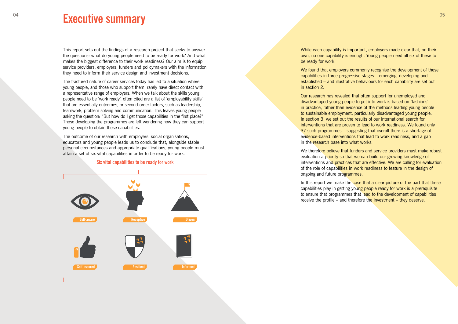# <sup>04</sup> **Executive summary Executive summary DENSITY**

This report sets out the findings of a research project that seeks to answer the questions: what do young people need to be ready for work? And what makes the biggest difference to their work readiness? Our aim is to equip service providers, employers, funders and policymakers with the information they need to inform their service design and investment decisions.

The fractured nature of career services today has led to a situation where young people, and those who support them, rarely have direct contact with the context of the context of the section of the context of the context of the context of the context of the context of the context of the context o a representative range of employers. When we talk about the skills young people need to be 'work ready', often cited are a list of 'employability skills' that are essentially outcomes, or second-order factors, such as leadership, teamwork, problem solving and communication. This leaves young people asking the question: "But how do I get those capabilities in the first place?" Those developing the programmes are left wondering how they can support young people to obtain these capabilities. **Emerging Developing Established Emerging Developing Established Emerging Developing Established**

We found that employers commonly recognise the development of these capabilities in three progressive stages – emerging, developing and established – and illustrative behaviours for each capability are set out in section 2.

The outcome of our research with employers, social organisations, educators and young people leads us to conclude that, alongside stable personal circumstances and appropriate qualifications, young people must attain a set of six vital capabilities in order to be ready for work.

#### **Six vital capabilities to be ready for work**



We therefore believe that funders and service providers must make robust evaluation a priority so that we can build our growing knowledge of interventions and practices that are effective. We are calling for evaluation of the role of capabilities in work readiness to feature in the design of ongoing and future programmes.

In this report we make the case that a clear picture of the part that these capabilities play in getting young people ready for work is a prerequisite to ensure that programmes that lead to the development of capabilities receive the profile – and therefore the investment – they deserve.

While each capability is important, employers made clear that, on their own, no one capability is enough. Young people need all six of these to be ready for work.

Our research has revealed that often support for unemployed and disadvantaged young people to get into work is based on 'fashions' in practice, rather than evidence of the methods leading young people to sustainable employment, particularly disadvantaged young people. In section 3, we set out the results of our international search for interventions that are proven to lead to work readiness. We found only 37 such programmes – suggesting that overall there is a shortage of evidence-based interventions that lead to work readiness, and a gap in the research base into what works.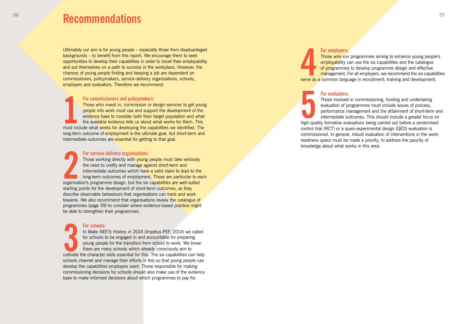Ultimately our aim is for young people – especially those from disadvantaged backgrounds – to benefit from this report. We encourage them to seek opportunities to develop their capabilities in order to boost their employability and put themselves on a path to success in the workplace. However, the chances of young people finding and keeping a job are dependent on commissioners, policymakers, service-delivery organisations, schools, employers and evaluators. Therefore we recommend:

Those who invest in, commission or design services to get young people into work must use and support the development of the evidence base to consider both their target population and what the available evidence tells us about what works for them. This must include what works for developing the capabilities we identified. The long-term outcome of employment is the ultimate goal, but short-term and intermediate outcomes are essential for getting to that goal.

**For service-delivery organisations:**  Those working directly with young people must take seriously the need to codify and manage against short-term and intermediate outcomes which have a valid claim to lead to the long-term outcomes of employment. These are particular to each organisation's programme design, but the six capabilities are well-suited starting points for the development of short-term outcomes, as they describe observable behaviours that organisations can track and work towards. We also recommend that organisations review the catalogue of programmes (page 39) to consider where evidence-based practice might be able to strengthen their programmes. must income-terr<br>intermeconganisa<br>organisa<br>describe<br>be able i<br>**123**<br>cultivate

#### **For commissioners and policymakers:**

# 06 07 **Recommendations**

**For employers:** Those who run programmes aiming to enhance young people's employability can use the six capabilities and the catalogue of programmes to develop programme design and effective management. For all employers, we recommend the six capabilities serve as a common language in recruitment, training and development.

Those involved in commissioning, funding and undertaking evaluation of programmes must include issues of process, performance management and the attainment of short-term and intermediate outcomes. This should include a greater focus on high-quality formative evaluations being carried out before a randomised control trial (RCT) or a quasi-experimental design (QED) evaluation is commissioned. In general, robust evaluation of interventions in the workreadiness space must be made a priority, to address the paucity of For employers:<br>
Those who run programmes aim<br>
employability can use the six ca<br>
of programmes to develop progr<br>
management. For all employers,<br>
serve as a common language in recruitmer<br>
For evaluators:<br>
Those involved in c

#### **For schools:**

In *Make NEETs History in 2014* (Impetus-PEF, 2014) we called for schools to be engaged in and accountable for preparing young people for the transition from school to work. We know there are many schools which already consciously aim to cultivate the character skills essential for this. The six capabilities can help schools channel and manage their efforts in this so that young people can develop the capabilities employers want. Those responsible for making commissioning decisions for schools should also make use of the evidence base to make informed decisions about which programmes to pay for.

#### **For evaluators:**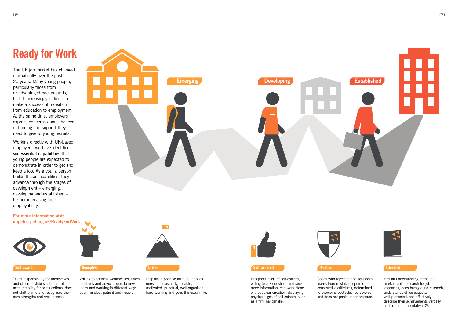

# **Ready for Work**

The UK job market has changed dramatically over the past 20 years. Many young people, particularly those from disadvantaged backgrounds, find it increasingly difficult to make a successful transition from education to employment. At the same time, employers express concerns about the level of training and support they need to give to young recruits.

Working directly with UK-based employers, we have identified **six essential capabilities** that young people are expected to demonstrate in order to get and keep a job. As a young person builds these capabilities, they advance through the stages of development – emerging, developing and established – further increasing their employability.

**For more information visit impetus-pef.org.uk/ReadyForWork**



Takes responsibility for themselves and others, exhibits self-control, accountability for one's actions, does not shift blame and recognises their own strengths and weaknesses.



Has good levels of self-esteem, willing to ask questions and seek more information, can work alone without clear direction, displaying physical signs of self-esteem, such as a firm handshake.



Willing to address weaknesses, takes feedback and advice, open to new ideas and working in different ways, open-minded, patient and flexible.

Copes with rejection and set-backs, learns from mistakes, open to constructive criticisms, determined to overcome obstacles, perseveres and does not panic under pressure.

Displays a positive attitude, applies oneself consistently, reliable, motivated, punctual, well-organised, hard-working and goes the extra mile.

Has an understanding of the job market, able to search for job vacancies, does background research, understands office etiquette, well-presented, can effectively describe their achievements verbally and has a representative CV.





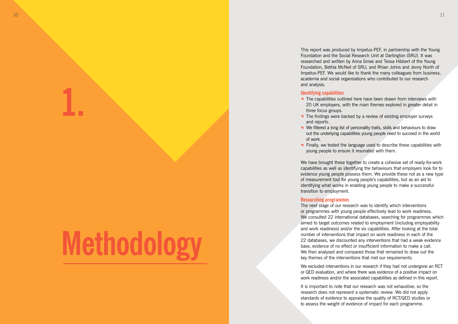**1.**

# **Methodology**

This report was produced by Impetus-PEF, in partnership with the Young Foundation and the Social Research Unit at Dartington (SRU). It was researched and written by Anna Smee and Tessa Hibbert of the Young Foundation, Bethia McNeil of SRU, and Rhian Johns and Jenny North of Impetus-PEF. We would like to thank the many colleagues from business, academia and social organisations who contributed to our research

 $\rightarrow$  The capabilities outlined here have been drawn from interviews with 20 UK employers, with the main themes explored in greater detail in

 $\rightarrow$  The findings were backed by a review of existing employer surveys

We filtered a long list of personality traits, skills and behaviours to draw out the underlying capabilities young people need to succeed in the world

#### **Identifying capabilities**

**T** Finally, we tested the language used to describe these capabilities with young people to ensure it resonated with them.

- three focus groups.
- and reports.
- of work.
- 

We have brought these together to create a cohesive set of ready-for-work capabilities as well as identifying the behaviours that employers look for to evidence young people possess them. We provide these not as a new type of measurement tool for young people's capabilities, but as an aid to identifying what works in enabling young people to make a successful transition to employment.

#### **Researching programmes**

The next stage of our research was to identify which interventions or programmes with young people effectively lead to work readiness. We consulted 22 international databases, searching for programmes which aimed to target outcomes related to employment (including employability and work readiness) and/or the six capabilities. After looking at the total number of interventions that impact on work readiness in each of the 22 databases, we discounted any interventions that had a weak evidence base, evidence of no effect or insufficient information to make a call. We then analysed and compared those that remained to draw out the key themes of the interventions that met our requirements.

We excluded interventions in our research if they had not undergone an RCT or QED evaluation, and where there was evidence of a positive impact on work readiness and/or the associated capabilities as defined in this report.

It is important to note that our research was not exhaustive; so the research does not represent a systematic review. We did not apply standards of evidence to appraise the quality of RCT/QED studies or to assess the weight of evidence of impact for each programme.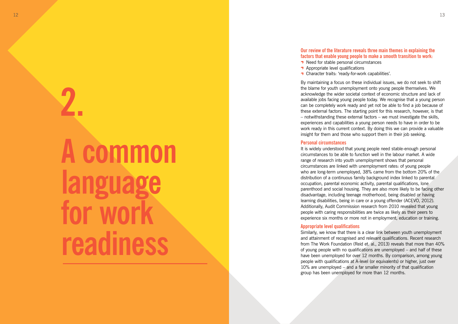# **A common language for work readiness 2.**

### **Our review of the literature reveals three main themes in explaining the factors that enable young people to make a smooth transition to work:**

- **↑** Need for stable personal circumstances
- $\rightarrow$  Appropriate level qualifications
- Character traits: 'ready-for-work capabilities'.

By maintaining a focus on these individual issues, we do not seek to shift the blame for youth unemployment onto young people themselves. We acknowledge the wider societal context of economic structure and lack of available jobs facing young people today. We recognise that a young person can be completely work ready and yet not be able to find a job because of these external factors. The starting point for this research, however, is that – notwithstanding these external factors – we must investigate the skills, experiences and capabilities a young person needs to have in order to be work ready in this current context. By doing this we can provide a valuable insight for them and those who support them in their job seeking.

It is widely understood that young people need stable-enough personal circumstances to be able to function well in the labour market. A wide range of research into youth unemployment shows that personal circumstances are linked with unemployment rates: of young people who are long-term unemployed, 38% came from the bottom 20% of the distribution of a continuous family background index linked to parental occupation, parental economic activity, parental qualifications, lone parenthood and social housing. They are also more likely to be facing other disadvantage, including teenage motherhood, being disabled or having learning disabilities, being in care or a young offender (ACEVO, 2012). Additionally, Audit Commission research from 2010 revealed that young people with caring responsibilities are twice as likely as their peers to experience six months or more not in employment, education or training.

#### **Personal circumstances**

### **Appropriate level qualifications**

Similarly, we know that there is a clear link between youth unemployment and attainment of recognised and relevant qualifications. Recent research from The Work Foundation (Reid et. al., 2013) reveals that more than 40% of young people with no qualifications are unemployed – and half of these have been unemployed for over 12 months. By comparison, among young people with qualifications at A-level (or equivalents) or higher, just over 10% are unemployed – and a far smaller minority of that qualification group has been unemployed for more than 12 months.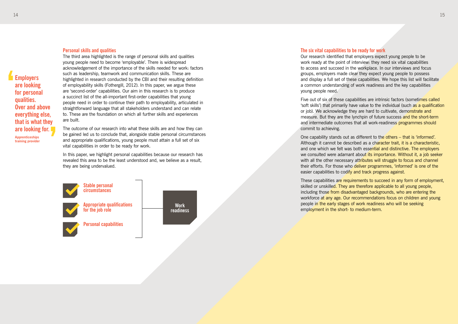#### **Personal skills and qualities**

The third area highlighted is the range of personal skills and qualities young people need to become 'employable'. There is widespread acknowledgement of the importance of the skills needed for work: factors such as leadership, teamwork and communication skills. These are highlighted in research conducted by the CBI and their resulting definition of employability skills (Fothergill, 2012). In this paper, we argue these are 'second-order' capabilities. Our aim in this research is to produce a succinct list of the all-important first-order capabilities that young people need in order to continue their path to employability, articulated in straightforward language that all stakeholders understand and can relate to. These are the foundation on which all further skills and experiences are built.

In this paper, we highlight personal capabilities because our research has revealed this area to be the least understood and, we believe as a result, they are being undervalued.

The outcome of our research into what these skills are and how they can be gained led us to conclude that, alongside stable personal circumstances and appropriate qualifications, young people must attain a full set of six vital capabilities in order to be ready for work.

Five out of six of these capabilities are intrinsic factors (sometimes called 'soft skills') that primarily have value to the individual (such as a qualification or job). We acknowledge they are hard to cultivate, demonstrate and measure. But they are the lynchpin of future success and the short-term and intermediate outcomes that all work-readiness programmes should commit to achieving.

One capability stands out as different to the others – that is 'informed'. Although it cannot be described as a character trait, it is a characteristic, and one which we felt was both essential and distinctive. The employers we consulted were adamant about its importance. Without it, a job seeker with all the other necessary attributes will struggle to focus and channel their efforts. For those who deliver programmes, 'informed' is one of the easier capabilities to codify and track progress against.



**Employers are looking for personal qualities. Over and above everything else, that is what they are looking for.**

**Apprenticeships training provider**

#### **The six vital capabilities to be ready for work**

These capabilities are requirements to succeed in any form of employment, skilled or unskilled. They are therefore applicable to all young people, including those from disadvantaged backgrounds, who are entering the workforce at any age. Our recommendations focus on children and young people in the early stages of work readiness who will be seeking employment in the short- to medium-term.

Our research identified that employers expect young people to be work ready at the point of interview: they need six vital capabilities to access and succeed in the workplace. In our interviews and focus groups, employers made clear they expect young people to possess and display a full set of these capabilities. We hope this list will facilitate a common understanding of work readiness and the key capabilities young people need.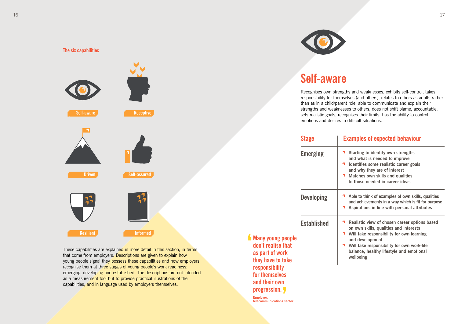These capabilities are explained in more detail in this section, in terms that come from employers. Descriptions are given to explain how

young people signal they possess these capabilities and how employers

emerging, developing and established. The descriptions are not intended

recognise them at three stages of young people's work readiness:

as a measurement tool but to provide practical illustrations of the

capabilities, and in language used by employers themselves.

**Emerging 7** Starting to identify own strengths **and what is needed to improve 1** Identifies some realistic career goals **and why they are of interest Matches own skills and qualities to those needed in career ideas** 

**Self-aware Receptive Driven Self-assured Resilient Informed**

**Developing Able to think of examples of own skills, qualities and achievements in a way which is fit for purpose Aspirations in line with personal attributes**

**Self-aware Receptive Driven Self-assured Resilient Informed**

**Established P** Realistic view of chosen career options based **on own skills, qualities and interests Will take responsibility for own learning and development Will take responsibility for own work-life balance, healthy lifestyle and emotional wellbeing**



Recognises own strengths and weaknesses, exhibits self-control, takes responsibility for themselves (and others), relates to others as adults rather than as in a child/parent role, able to communicate and explain their strengths and weaknesses to others, does not shift blame, accountable,

## **Stage Examples of expected behaviour**

- 
- 
- **Many young people don't realise that as part of work they have to take responsibility for themselves and their own progression.**

**Employer, telecommunications sector**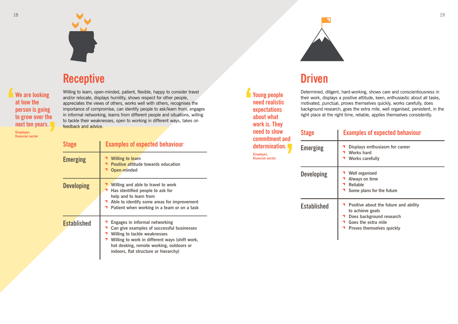



# **Receptive Self-aware Receptive Self-awareas Awareas Self-assured Awareas Self-assured Priven**

Willing to learn, open-minded, patient, flexible, happy to consider travel and/or relocate, displays humility, shows respect for other people, appreciates the views of others, works well with others, recognises the importance of compromise, can identify people to ask/learn from, engages in informal networking, learns from different people and situations, willing to tackle their weaknesses, open to working in different ways, takes on feedback and advice.

| <b>Stage</b>       | <b>Examples of expected behaviour</b>                                                                                                                                                                                                                             |
|--------------------|-------------------------------------------------------------------------------------------------------------------------------------------------------------------------------------------------------------------------------------------------------------------|
| <b>Emerging</b>    | <b>Willing to learn</b><br><b>Positive attitude towards education</b><br><b>Open-minded</b>                                                                                                                                                                       |
| <b>Developing</b>  | Willing and able to travel to work<br>Has identified people to ask for<br>help and to learn from<br><b>1</b> Able to identify some areas for improvement<br>Patient when working in a team or on a task                                                           |
| <b>Established</b> | <b>Engages in informal networking</b><br>Can give examples of successful businesses<br><b>Willing to tackle weaknesses</b><br>Willing to work in different ways (shift work,<br>hot desking, remote working, outdoors or<br>indoors, flat structure or hierarchy) |

**Well organised Always on time Reliable Some plans for the future**

**We are looking at how the person is going to grow over the next ten years.**

**Employer, financial sector**

Determined, diligent, hard-working, shows care and conscientiousness in their work, displays a positive attitude, keen, enthusiastic about all tasks, motivated, punctual, proves themselves quickly, works carefully, does background research, goes the extra mile, well organised, persistent, in the right place at the right time, reliable, applies themselves consistently.

| Stage       | B                                       |
|-------------|-----------------------------------------|
| Emerging    |                                         |
| Developing  | $\overline{\phantom{a}}$                |
| Established | $\begin{array}{c}\n1 \\ 1\n\end{array}$ |

# **Stage Examples of expected behaviour**

**Emerging Displays enthusiasm for career Works hard Works carefully**

**Established Positive about the future and ability to achieve goals Does background research Goes the extra mile**

**Proves themselves quickly**

**Young people need realistic expectations about what work is. They need to show commitment and determination. Employer, financial sector**

# **Self-aware** *Self-aware* **<b>Driven Self-assured References**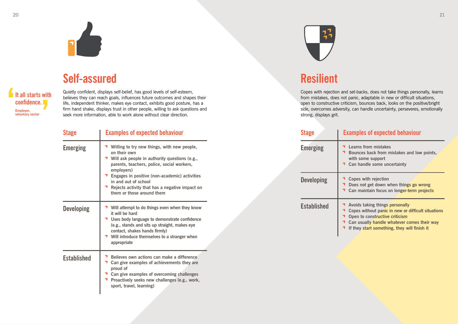

Quietly confident, displays self-belief, has good levels of self-esteem, believes they can reach goals, influences future outcomes and shapes their life, independent thinker, makes eye contact, exhibits good posture, has a firm hand shake, displays trust in other people, willing to ask questions and seek more information, able to work alone without clear direction.

### **Self-assured Resilient Resilient Resilient**

| <b>Stage</b>       | <b>Examples of expected behaviour</b>                                                                                                                                                                                                                             | <b>Stage</b>       | E                                                              |
|--------------------|-------------------------------------------------------------------------------------------------------------------------------------------------------------------------------------------------------------------------------------------------------------------|--------------------|----------------------------------------------------------------|
| <b>Emerging</b>    | Willing to try new things, with new people,<br>on their own<br>Will ask people in authority questions (e.g.,<br>parents, teachers, police, social workers,<br>employers)                                                                                          | <b>Emerging</b>    | $\overline{\phantom{a}}$<br>$\overline{\phantom{a}}$           |
|                    | Engages in positive (non-academic) activities<br>in and out of school<br>Rejects activity that has a negative impact on<br>them or those around them                                                                                                              | <b>Developing</b>  |                                                                |
| <b>Developing</b>  | Will attempt to do things even when they know<br>it will be hard<br>Uses body language to demonstrate confidence<br>(e.g., stands and sits up straight, makes eye<br>contact, shakes hands firmly)<br>Will introduce themselves to a stranger when<br>appropriate | <b>Established</b> | 7<br>$\overline{\phantom{a}}$<br>$\overline{\phantom{a}}$<br>勹 |
| <b>Established</b> | Believes own actions can make a difference<br>Can give examples of achievements they are<br>proud of<br>Can give examples of overcoming challenges<br>Proactively seeks new challenges (e.g., work,<br>sport, travel, learning)                                   |                    |                                                                |



**Learns from mistakes Bounces back from mistakes and low points, with some support Can handle some uncertainty**

**Copes with rejection Does not get down when things go wrong Can maintain focus on longer-term projects**



Copes with rejection and set-backs, does not take things personally, learns from mistakes, does not panic, adaptable in new or difficult situations, open to constructive criticism, bounces back, looks on the positive/bright side, overcomes adversity, can handle uncertainty, perseveres, emotionally strong, displays grit.

# **Stage Examples of expected behaviour**

**Established Avoids taking things personally Copes without panic in new or difficult situations Open to constructive criticism Can usually handle whatever comes their way If they start something, they will finish it**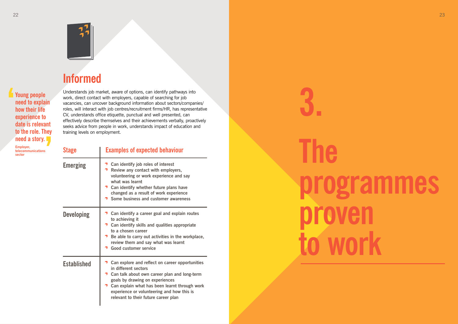

# **programmes**

**The proven to work**

Understands job market, aware of options, can identify pathways into<br>work, direct contact with employers, capable of searching for job<br>vacancies, can uncover background information about sectors/companies/<br>roles, will inte work, direct contact with employers, capable of searching for job vacancies, can uncover background information about sectors/companies/ roles, will interact with job centres/recruitment firms/HR, has representative CV, understands office etiquette, punctual and well presented, can effectively describe themselves and their achievements verbally, proactively seeks advice from people in work, understands impact of education and training levels on employment.

| <b>Stage</b>       | <b>Examples of expected behaviour</b>                                                                                                                                                                                                                                                                      |
|--------------------|------------------------------------------------------------------------------------------------------------------------------------------------------------------------------------------------------------------------------------------------------------------------------------------------------------|
| <b>Emerging</b>    | <b>7</b> Can identify job roles of interest<br><b>1</b> Review any contact with employers,<br>volunteering or work experience and say<br>what was learnt<br>Can identify whether future plans have<br>changed as a result of work experience<br>Some business and customer awareness                       |
| <b>Developing</b>  | Can identify a career goal and explain routes<br>to achieving it<br>Can identify skills and qualities appropriate<br>to a chosen career<br>Be able to carry out activities in the workplace,<br>review them and say what was learnt<br><b>Good customer service</b>                                        |
| <b>Established</b> | Can explore and reflect on career opportunities<br>in different sectors<br>Can talk about own career plan and long-term<br>goals by drawing on experiences<br><b>1</b> Can explain what has been learnt through work<br>experience or volunteering and how this is<br>relevant to their future career plan |

**Young people need to explain how their life experience to date is relevant to the role. They need a story.**

> **Employer, telecommunications sector**

# **Informed Self-aware Receptive Driven Self-assured Resilient Informed**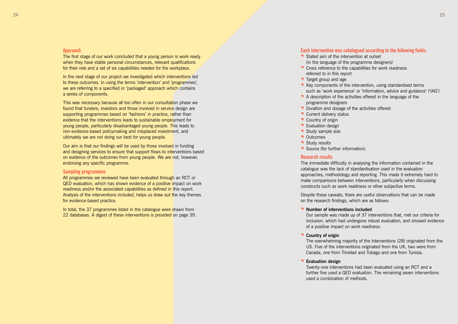- **T** Cross reference to the capabilities for work readiness
	-
	-
- **Duration and dosage of the activities offered**

#### **Approach**

The first stage of our work concluded that a young person is work ready when they have stable personal circumstances, relevant qualifications for their role and a set of six capabilities needed for the workplace.

In the next stage of our project we investigated which interventions led to these outcomes. In using the terms 'intervention' and 'programmes', we are referring to a specified or 'packaged' approach which contains a series of components.

This was necessary because all too often in our consultation phase we found that funders, investors and those involved in service design are supporting programmes based on 'fashions' in practice, rather than evidence that the interventions leads to sustainable employment for young people, particularly disadvantaged young people. This leads to non-evidence-based policymaking and misplaced investment, and ultimately we are not doing our best for young people.

Our aim is that our findings will be used by those involved in funding and designing services to ensure that support flows to interventions based on evidence of the outcomes from young people. We are not, however, endorsing any specific programme.

#### **Sampling programmes**

All programmes we reviewed have been evaluated through an RCT or QED evaluation, which has shown evidence of a positive impact on work readiness and/or the associated capabilities as defined in this report. Analysis of the interventions included, helps us draw out the key themes for evidence-based practice.

In total, the 37 programmes listed in the catalogue were drawn from 22 databases. A digest of these interventions is provided on page 39.

#### **Each intervention was catalogued according to the following fields:**

- Stated aim of the intervention at outset (in the language of the programme designers)
- referred to in this report
- $\overline{\phantom{a}}$  Target group and age
- $\rightarrow$  Key components of the intervention, using standardised terms such as 'work experience' or 'information, advice and guidance' ('IAG') A description of the activities offered in the language of the programme designers
- 
- 
- **T** Current delivery status **1** Country of origin
- 
- **T** Evaluation design **1** Study sample size
- **1** Outcomes
- 
- **T** Study results
- **T** Source (for further information).

- **1** Number of interventions included of a positive impact on work readiness.
- **Country of origin**
- **Evaluation design** used a combination of methods.

#### **Research results**

The immediate difficulty in analysing the information contained in the catalogue was the lack of standardisation used in the evaluation approaches, methodology and reporting. This made it extremely hard to make comparisons between interventions, particularly when discussing constructs such as work readiness or other subjective terms.

Despite these caveats, there are useful observations that can be made on the research findings, which are as follows:

Our sample was made up of 37 interventions that, met our criteria for inclusion, which had undergone robust evaluation, and showed evidence

The overwhelming majority of the interventions (28) originated from the US. Five of the interventions originated from the UK, two were from Canada, one from Trinidad and Tobago and one from Tunisia.

Twenty-one interventions had been evaluated using an RCT and a further five used a QED evaluation. The remaining seven interventions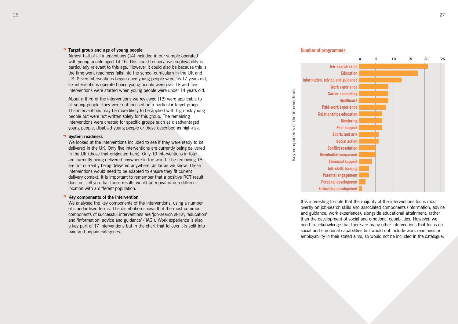

#### **T** Target group and age of young people

Almost half of all interventions (14) included in our sample operated with young people aged 14-16. This could be because employability is particularly relevant to this age. However it could also be because this is the time work readiness falls into the school curriculum in the UK and US. Seven interventions began once young people were 16-17 years old, six interventions operated once young people were over 18 and five interventions were started when young people were under 14 years old.

About a third of the interventions we reviewed (13) were applicable to all young people: they were not focused on a particular target group. The interventions may be more likely to be applied with high-risk young people but were not written solely for this group. The remaining interventions were created for specific groups such as disadvantaged young people, disabled young people or those described as high-risk.

#### **T** System readiness

We looked at the interventions included to see if they were ready to be delivered in the UK. Only five interventions are currently being delivered in the UK (those that originated here). Only 19 interventions in total are currently being delivered anywhere in the world. The remaining 18 are not currently being delivered anywhere, as far as we know. These interventions would need to be adapted to ensure they fit current delivery context. It is important to remember that a positive RCT result does not tell you that these results would be repeated in a different location with a different population.

#### **T** Key components of the intervention

We analysed the key components of the interventions, using a number of standardised terms. The distribution shows that the most common components of successful interventions are 'job-search skills', 'education' and 'information, advice and guidance' ('IAG'). Work experience is also a key part of 17 interventions but in the chart that follows it is split into paid and unpaid categories.

It is interesting to note that the majority of the interventions focus most overtly on job-search skills and associated components (information, advice and guidance, work experience), alongside educational attainment, rather than the development of social and emotional capabilities. However, we need to acknowledge that there are many other interventions that focus on social and emotional capabilities but would not include work readiness or



**Information, advice and guidance Work experience Career counseling Paid-work experience Relationships education Sports and arts Conflict resolution Residential component Financial support Job-skills training Parental engagement Personal development Enterprise development**

Key components of the interventions

Key components of the interventions

#### **Number of programmes**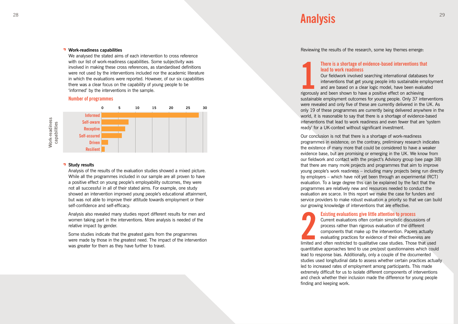#### **Work-readiness capabilities**

We analysed the stated aims of each intervention to cross reference with our list of work-readiness capabilities. Some subjectivity was involved in making these cross references, as standardised definitions were not used by the interventions included nor the academic literature in which the evaluations were reported. However, of our six capabilities there was a clear focus on the capability of young people to be 'informed' by the interventions in the sample.

#### **Number of programmes**

Analysis of the results of the evaluation studies showed a mixed picture. While all the programmes included in our sample are all proven to have a positive effect on young people's employability outcomes, they were not all successful in all of their stated aims. For example, one study showed an intervention improved young people's educational attainment, but was not able to improve their attitude towards employment or their self-confidence and self-efficacy.

Analysis also revealed many studies report different results for men and women taking part in the interventions. More analysis is needed of the relative impact by gender.

Our conclusion is not that there is a shortage of work-readiness programmes in existence; on the contrary, preliminary research indicates the existence of many more that could be considered to have a weaker evidence base, but are promising or emerging in the UK. We know from our fieldwork and contact with the project's Advisory group (see page 38) that there are many more projects and programmes that aim to improve young people's work readiness – including many projects being run directly by employers – which have not yet been through an experimental (RCT) evaluation. To a large degree this can be explained by the fact that the programmes are relatively new and resources needed to conduct the evaluation are scarce. In this report we make the case for funders and service providers to make robust evaluation a priority so that we can build our growing knowledge of interventions that are effective. rigorousl<br>sustainal<br>were rev<br>only 19<br>world, it<br>intervent<br>ready' fc<br>Our concepram<br>the exist evidence<br>will that ther<br>young pe<br>by emple<br>evaluatic<br>program<br>evaluatic<br>program<br>evaluatic<br>evaluatic<br>our grow<br>minities our grow<br>aluati

Some studies indicate that the greatest gains from the programmes were made by those in the greatest need. The impact of the intervention was greater for them as they have further to travel.

Reviewing the results of the research, some key themes emerge:

# **There is a shortage of evidence-based interventions that**

# **lead to work readiness**

Our fieldwork involved searching international databases for interventions that get young people into sustainable employment and are based on a clear logic model, have been evaluated

rigorously and been shown to have a positive effect on achieving sustainable employment outcomes for young people. Only 37 interventions were revealed and only five of these are currently delivered in the UK. As only 19 of these programmes are currently being delivered anywhere in the world, it is reasonable to say that there is a shortage of evidence-based interventions that lead to work readiness and even fewer that are 'system ready' for a UK-context without significant investment.

#### $\mathsf{A}\bullet\mathsf{A}\bullet\mathsf{A}\bullet\mathsf{A}$ **Analysis**

# **Existing evaluations give little attention to process**

Current evaluations often contain simplistic discussions of process rather than rigorous evaluation of the different components that make up the intervention. Papers actually evaluating practices for evidence of their effectiveness are limited and often restricted to qualitative case studies. Those that used quantitative approaches tend to use pre/post questionnaires which could lead to response bias. Additionally, only a couple of the documented studies used longitudinal data to assess whether certain practices actually led to increased rates of employment among participants. This made extremely difficult for us to isolate different components of interventions and check whether their inclusion made the difference for young people finding and keeping work.



#### **T** Study results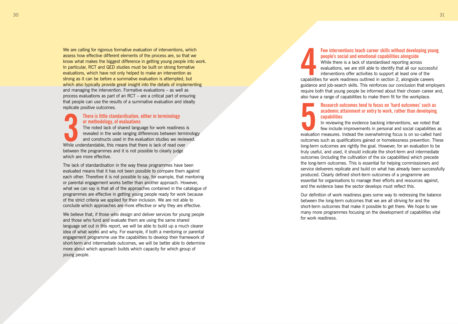evaluations, we are still able to identify that all our successful interventions offer activities to support at least one of the capabilities for work readiness outlined in section 2, alongside careers guidance and job-search skills. This reinforces our conclusion that employers require both that young people be informed about their chosen career and, also have a range of capabilities to make them fit for the workplace. **45**<br> **455**<br> **455**<br> **455**<br> **456**<br> **456**<br> **456**<br> **456**<br> **456**<br> **456**<br> **456** 

## **Few interventions teach career skills without developing young people's social and emotional capabilities alongside** While there is a lack of standardised reporting across

#### **Research outcomes tend to focus on 'hard outcomes' such as academic attainment or entry to work, rather than developing**

**capabilities**

In reviewing the evidence backing interventions, we noted that few include improvements in personal and social capabilities as evaluation measures. Instead the overwhelming focus is on so-called hard outcomes such as qualifications gained or homelessness prevention. These long-term outcomes are rightly the goal. However, for an evaluation to be truly useful, and used, it should indicate the short-term and intermediate outcomes (including the cultivation of the six capabilities) which precede the long-term outcomes. This is essential for helping commissioners and service deliverers replicate and build on what has already been successfully produced. Clearly defined short-term outcomes of a programme are essential for organisations to manage their efforts and resources against, and the evidence base the sector develops must reflect this.

We are calling for rigorous formative evaluation of interventions, which assess how effective different elements of the process are, so that we know what makes the biggest difference in getting young people into work. In particular, RCT and QED studies must be built on strong formative evaluations, which have not only helped to make an intervention as strong as it can be before a summative evaluation is attempted, but which also typically provide great insight into the details of implementing and managing the intervention. Formative evaluations – as well as process evaluations as part of an RCT – are a critical part of ensuring that people can use the results of a summative evaluation and ideally replicate positive outcomes.

> Our definition of work readiness goes some way to redressing the balance between the long-term outcomes that we are all striving for and the short-term outcomes that make it possible to get there. We hope to see many more programmes focusing on the development of capabilities vital for work readiness.

#### **There is little standardisation, either in terminology or methodology, of evaluations**

The noted lack of shared language for work readiness is revealed in the wide ranging differences between terminology and constructs used in the evaluation studies we reviewed. While understandable, this means that there is lack of read over between the programmes and it is not possible to clearly judge which are more effective.

The lack of standardisation in the way these programmes have been evaluated means that it has not been possible to compare them against each other. Therefore it is not possible to say, for example, that mentoring or parental engagement works better than another approach. However, what we can say is that all of the approaches contained in the catalogue of programmes are effective in getting young people ready for work because of the strict criteria we applied for their inclusion. We are not able to conclude which approaches are more effective or why they are effective.

The<br>
or r<br>
The<br>
reve<br>
and<br>
while underst<br>
between the p<br>
which are mo<br>
The lack of sta<br>
each other. The programmes and<br>
programmes and<br>
programmes and<br>
of the strict cr<br>
conclude whic<br>
We believe tha<br>
and those whe<br>
langua We believe that, if those who design and deliver services for young people and those who fund and evaluate them are using the same shared language set out in this report, we will be able to build up a much clearer idea of what works and why. For example, if both a mentoring or parental engagement programme use the capabilities to develop their framework of short-term and intermediate outcomes, we will be better able to determine more about which approach builds which capacity for which group of voung people.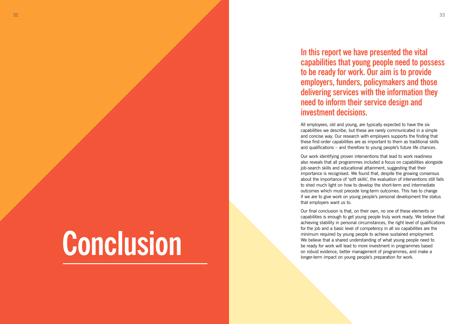# **In this report we have presented the vital capabilities that young people need to possess to be ready for work. Our aim is to provide employers, funders, policymakers and those delivering services with the information they need to inform their service design and**

All employees, old and young, are typically expected to have the six capabilities we describe, but these are rarely communicated in a simple and concise way. Our research with employers supports the finding that these first-order capabilities are as important to them as traditional skills and qualifications – and therefore to young people's future life chances.

Our final conclusion is that, on their own, no one of these elements or capabilities is enough to get young people truly work ready. We believe that achieving stability in personal circumstances, the right level of qualifications for the job and a basic level of competency in all six capabilities are the minimum required by young people to achieve sustained employment. We believe that a shared understanding of what young people need to be ready for work will lead to more investment in programmes based **on robust evidence**, better management of programmes, and make a longer-term impact on young people's preparation for work.

Our work identifying proven interventions that lead to work readiness also reveals that all programmes included a focus on capabilities alongside job-search skills and educational attainment, suggesting that their importance is recognised. We found that, despite the growing consensus about the importance of 'soft skills', the evaluation of interventions still fails to shed much light on how to develop the short-term and intermediate outcomes which must precede long-term outcomes. This has to change if we are to give work on young people's personal development the status that employers want us to.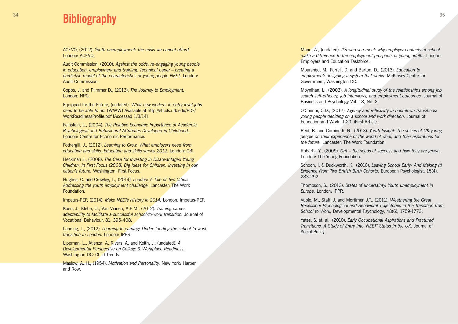ACEVO, (2012). *Youth unemployment: the crisis we cannot afford.*  London: ACEVO.

Audit Commission, (2010). *Against the odds: re-engaging young people in education, employment and training. Technical paper – creating a predictive model of the characteristics of young people NEET.* London: Audit Commission.

Copps, J. and Plimmer D., (2013). *The Journey to Employment.*  London: NPC.

Equipped for the Future, (undated). *What new workers in entry level jobs need to be able to do.* [WWW] Available at http://eff.cls.utk.edu/PDF/ WorkReadinessProfile.pdf [Accessed 1/3/14]

Feinstein, L., (2004). *The Relative Economic Importance of Academic, Psychological and Behavioural Attributes Developed in Childhood.*  London: Centre for Economic Performance.

Fothergill, J., (2012). *Learning to Grow: What employers need from education and skills. Education and skills survey 2012.* London: CBI.

Heckman J., (2008). *The Case for Investing in Disadvantaged Young Children. In First Focus (2008) Big Ideas for Children: Investing in our nation's future.* Washington: First Focus.

Hughes, C. and Crowley, L., (2014). *London: A Tale of Two Cities: Addressing the youth employment challenge.* Lancaster: The Work Foundation.

Impetus-PEF, (2014). *Make NEETs History in 2014.* London: Impetus-PEF.

Koen, J., Klehe, U., Van Vianen, A.E.M., (2012). *Training career*  **adaptability to facilitate a successful school-to-work transition. Journal of** Vocational Behaviour, 81, 395-408.

Lanning, T., (2012). *Learning to earning: Understanding the school-to-work transition in London.* London: IPPR.

Lippman, L., Atienza, A. Rivers, A. and Keith, J., (undated). *A Developmental Perspective on College & Workplace Readiness.*  Washington DC: Child Trends.

#### $34$   $35$ **Bibliography**

Maslow, A. H., (1954). *Motivation and Personality.* New York: Harper and Row.

Mann, A., (undated). *It's who you meet: why employer contacts at school make a difference to the employment prospects of young adults.* London: Employers and Education Taskforce.

Mourshed, M., Farrell, D. and Barton, D., (2013). *Education to employment: designing a system that works.* McKinsey Centre for Government, Washington DC.

Moynihan, L., (2003). *A longitudinal study of the relationships among job search self-efficacy, job interviews, and employment outcomes.* Journal of Business and Psychology Vol. 18, No. 2.

O'Connor, C.D., (2012). *Agency and reflexivity in boomtown transitions: young people deciding on a school and work direction.* Journal of Education and Work, 1-20, iFirst Article.

Reid, B. and Cominetti, N., (2013). *Youth Insight: The voices of UK young people on their experience of the world of work, and their aspirations for the future.* Lancaster: The Work Foundation.

Roberts, Y., (2009). *Grit – the seeds of success and how they are grown.*  London: The Young Foundation.

Schoon, I. & Duckworth, K., (2010). *Leaving School Early- And Making It! Evidence From Two British Birth Cohorts.* European Psychologist, 15(4),

283-292.

Thompson, S., (2013). *States of uncertainty: Youth unemployment in* 

*Europe.* London: IPPR.

Vuolo, M., Staff, J. and Mortimer, J.T., (2011). *Weathering the Great Recession: Psychological and Behavioral Trajectories in the Transition from School to Work,* Developmental Psychology, 48(6), 1759-1773.

Yates, S. et. al., (2010). *Early Occupational Aspirations and Fractured Transitions: A Study of Entry into 'NEET' Status in the UK.* Journal of

Social Policy.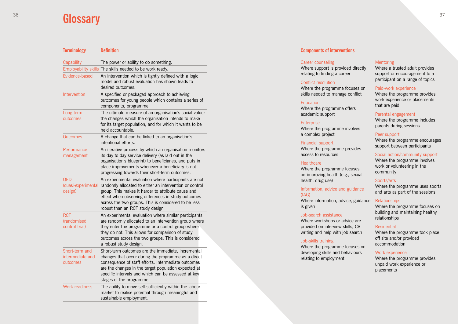## **Components of interventions**

#### Career counseling

Where support is provi relating to finding a car

#### Conflict resolution

Where the programme skills needed to manag

#### **Education**

Where the programme academic support

#### **Enterprise**

Where the programme a complex project

Where the programme access to resources

#### **Healthcare**

Where the programme on improving health (e. health, drug use)

#### Information, advice and (IAG)

Where information, adv is given

#### Financial support

Where the programme developing skills and be relating to employment

#### Job-search assistance

Where workshops or a provided on interview s writing and help with jo

#### Job-skills training

| ided directly<br>reer                 | <b>Mentoring</b><br>Where a trusted adult provides<br>support or encouragement to a<br>participant on a range of topics                                                                  |  |  |  |  |  |
|---------------------------------------|------------------------------------------------------------------------------------------------------------------------------------------------------------------------------------------|--|--|--|--|--|
| focuses on<br>ge conflict<br>offers   | Paid-work experience<br>Where the programme provides<br>work experience or placements<br>that are paid<br>Parental engagement<br>Where the programme includes<br>parents during sessions |  |  |  |  |  |
| involves                              |                                                                                                                                                                                          |  |  |  |  |  |
| provides                              | Peer support<br>Where the programme encourages<br>support between participants                                                                                                           |  |  |  |  |  |
| focuses<br>.g., sexual                | Social action/community support<br>Where the programme involves<br>work or volunteering in the<br>community                                                                              |  |  |  |  |  |
| d guidance                            | Sports/arts<br>Where the programme uses sports<br>and arts as part of the sessions                                                                                                       |  |  |  |  |  |
| vice, guidance<br>dvice are           | <b>Relationships</b><br>Where the programme focuses on<br>building and maintaining healthy<br>relationships                                                                              |  |  |  |  |  |
| skills, CV<br>ob search<br>focuses on | <b>Residential</b><br>Where the programme took place<br>off site and/or provided<br>accommodation                                                                                        |  |  |  |  |  |
| ehaviours<br>t                        | Work experience<br>Where the programme provides<br>unpaid work experience or<br>placements                                                                                               |  |  |  |  |  |

#### **Terminology Definition**

### $36$  37  $\bigcap$ **Glossary**

| Capability                                     | The power or ability to do something.                                                                                                                                                                                                                                                                                     |
|------------------------------------------------|---------------------------------------------------------------------------------------------------------------------------------------------------------------------------------------------------------------------------------------------------------------------------------------------------------------------------|
|                                                | Employability skills The skills needed to be work ready.                                                                                                                                                                                                                                                                  |
| Evidence-based                                 | An intervention which is tightly defined with a logic<br>model and robust evaluation has shown leads to<br>desired outcomes.                                                                                                                                                                                              |
| Intervention                                   | A specified or packaged approach to achieving<br>outcomes for young people which contains a series of<br>components; programme.                                                                                                                                                                                           |
| Long-term<br>outcomes                          | The ultimate measure of an organisation's social value:<br>the changes which the organisation intends to make<br>for its target population, and for which it wants to be<br>held accountable.                                                                                                                             |
| <b>Outcomes</b>                                | A change that can be linked to an organisation's<br>intentional efforts.                                                                                                                                                                                                                                                  |
| Performance<br>management                      | An iterative process by which an organisation monitors<br>its day to day service delivery (as laid out in the<br>organisation's blueprint) to beneficiaries, and puts in<br>place improvements whenever a beneficiary is not<br>progressing towards their short-term outcomes.                                            |
| <b>QED</b><br>(quasi-experimental<br>design)   | An experimental evaluation where participants are not<br>randomly allocated to either an intervention or control<br>group. This makes it harder to attribute cause and<br>effect when observing differences in study outcomes<br>across the two groups. This is considered to be less<br>robust than an RCT study design. |
| <b>RCT</b><br>(randomised<br>control trial)    | An experimental evaluation where similar participants<br>are randomly allocated to an intervention group where<br>they enter the programme or a control group where<br>they do not. This allows for comparison of study<br>outcomes across the two groups. This is considered<br>a robust study design.                   |
| Short-term and<br>intermediate and<br>outcomes | Short-term outcomes are the immediate, incremental<br>changes that occur during the programme as a direct<br>consequence of staff efforts. Intermediate outcomes<br>are the changes in the target population expected at<br>specific intervals and which can be assessed at key<br>stages of the programme.               |
| <b>Work readiness</b>                          | The ability to move self-sufficiently within the labour<br>market to realise potential through meaningful and<br>sustainable employment.                                                                                                                                                                                  |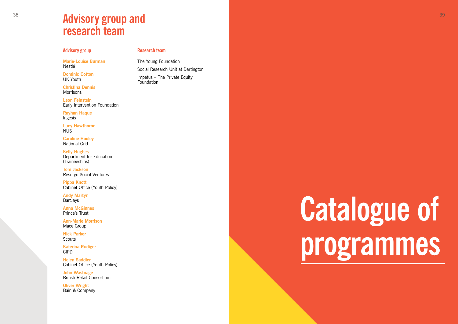# **Catalogue of programmes**

#### **Advisory group**

**Christina Dennis Morrisons** 

**Marie-Louise Burman** Nestlé

**Dominic Cotton** UK Youth

**Leon Feinstein** Early Intervention Foundation

**Rayhan Haque** Ingesis

**Andy Martyn Barclays** 

**Lucy Hawthorne** NUS

**Caroline Hooley** National Grid

**Nick Parker Scouts** 

**Kelly Hughes** Department for Education (Traineeships)

The Young Foundation Social Research Unit at Dartington Impetus – The Private Equity **Foundation** 

**Tom Jackson** Resurgo Social Ventures

**Pippa Knott** Cabinet Office (Youth Policy)

**Anna McGinnes** Prince's Trust

**Ann-Marie Morrison** Mace Group

**Katerina Rudiger** CIPD

**Helen Saddler** Cabinet Office (Youth Policy)

**John Wastnage** British Retail Consortium

**Oliver Wright** Bain & Company

#### **Research team**

# **Advisory group and research team**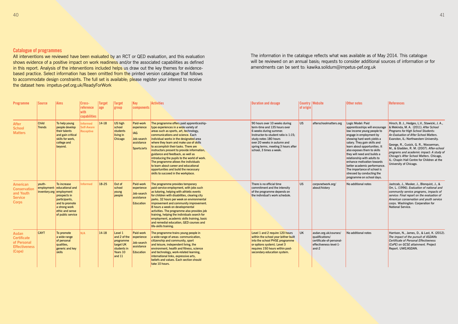| <b>Programme</b>                                                                      | <b>Source</b>                 | Aims                                                                                                                                                                               | Cross-<br>reference<br>with<br>capabilities              | <b>Target</b><br>$ $ age | <b>Target</b><br>group                                                                   | <b>Key</b><br>components                                                         | <b>Activities</b>                                                                                                                                                                                                                                                                                                                                                                                                                                                                                                                                                                                   | <b>Duration and dosage</b>                                                                                                                                                                                                                                | of origin | <b>Country Website</b>                                                                                     | Other notes                                                                                                                                                                                                                                                                                                                                                                                                                                                      | <b>References</b>                                                                                                                                                                                                                                                                                                                                                                                                                                                      |
|---------------------------------------------------------------------------------------|-------------------------------|------------------------------------------------------------------------------------------------------------------------------------------------------------------------------------|----------------------------------------------------------|--------------------------|------------------------------------------------------------------------------------------|----------------------------------------------------------------------------------|-----------------------------------------------------------------------------------------------------------------------------------------------------------------------------------------------------------------------------------------------------------------------------------------------------------------------------------------------------------------------------------------------------------------------------------------------------------------------------------------------------------------------------------------------------------------------------------------------------|-----------------------------------------------------------------------------------------------------------------------------------------------------------------------------------------------------------------------------------------------------------|-----------|------------------------------------------------------------------------------------------------------------|------------------------------------------------------------------------------------------------------------------------------------------------------------------------------------------------------------------------------------------------------------------------------------------------------------------------------------------------------------------------------------------------------------------------------------------------------------------|------------------------------------------------------------------------------------------------------------------------------------------------------------------------------------------------------------------------------------------------------------------------------------------------------------------------------------------------------------------------------------------------------------------------------------------------------------------------|
| <b>After</b><br><b>School</b><br><b>Matters</b>                                       | <b>Child</b><br><b>Trends</b> | To help young<br>people develop<br>their talents<br>and gain critical<br>skills for work.<br>college and<br>beyond.                                                                | <b>Informed</b><br><b>Self-Aware</b><br><b>Receptive</b> | $14-18$                  | US high<br>school<br>students<br>living in<br>Chicago                                    | Paid-work<br>experience<br><b>IAG</b><br>Job-search<br>assistance<br>Sports/arts | The programme offers paid apprenticeship-<br>type experiences in a wide variety of<br>areas such as sports, art, technology,<br>communications and science. Each<br>individual works in the designated area<br>where they learn and make use of skills<br>to accomplish their tasks. There are<br>instructors present to provide information,<br>guidance and feedback, as well as<br>introducing the pupils to the world of work.<br>The programme allows the individuals<br>to learn about career and educational<br>opportunities and build the necessary<br>skills to succeed in the workplace. | 90 hours over 10 weeks during<br>term-time and 135 hours over<br>6 weeks during summer.<br>Instructor-to-student ratio is 1:15:<br>study notes 180 hours<br>over 20 weeks in autumn and<br>spring terms, meeting 3 hours after<br>school, 3 times a week. | US        | afterschoolmatters.org                                                                                     | Logic Model: Paid<br>apprenticeships will encourage<br>low income young people to<br>engage in employment by<br>showing hard work yields a<br>salary. They gain skills and<br>learn about opportunities. It<br>also exposes them to skills<br>they will need and builds a<br>relationship with adults to<br>enhance motivation towards<br>better academic performance.<br>The importance of school is<br>stressed by conducting the<br>programme on school days. | Hirsch, B. J., Hedges, L.V., Stawicki, J. A.,<br>& Mekinda, M. A. (2011). After School<br>Programs for High School Students:<br>An Evaluation of After School Matters.<br>Evanston, IL: Northwestern University.<br>George, R., Cusick, G. R., Wasserman,<br>M., & Gladden, R. M. (2007). After-school<br>programs and academic impact: A study of<br>Chicago's After School Matters. Chicago,<br>IL: Chapin Hall Centre for Children at the<br>University of Chicago. |
| <b>American</b><br><b>Conservation</b><br>and Youth<br><b>Service</b><br><b>Corps</b> | vouth-                        | To increase<br>employment- educational and<br>inventory.org employment<br>prospects in<br>participants,<br>and to promote<br>a strong work<br>ethic and sense<br>of public service | <b>Informed</b>                                          | 18-25                    | Out of<br>school<br>young<br>people                                                      | Paid-work<br>experience<br>Job-search<br>assistance<br><b>Education</b>          | The programme provides temporary<br>paid-service employment, with jobs such<br>as tutoring, helping with athletic events<br>for children with disabilities, clearing city<br>parks. 32 hours per week on environmental<br>improvement and community improvement.<br>8 hours a week on developmental<br>activities. The programme also provides job<br>training, helping the individuals search for<br>employment, academic skills training, basic<br>and remedial education. GED courses and<br>life-skills training.                                                                               | There is no official time<br>commitment and the intensity<br>of the programme depends on<br>the individual's work schedule.                                                                                                                               | lus.      | corpsnetwork.org/<br>about/history                                                                         | No additional notes                                                                                                                                                                                                                                                                                                                                                                                                                                              | Jastrzab, J., Masker, J., Blonquist, J., &<br>Orr, L. (1996). Evaluation of national and<br>community service programs, impacts of<br>service: Final report on the evaluation of<br>American conservation and youth service<br>corps. Washington: Corperation for<br>National Service.                                                                                                                                                                                 |
| <b>Asdan</b><br><b>Certificate</b><br>of Personal<br><b>Effectiveness</b><br>(Cope)   | <b>CAYT</b>                   | To promote<br>a wide range<br>of personal<br>qualities.<br>generic and key<br>skills                                                                                               | N/A                                                      | $14-18$                  | Level 1<br>and 2 of the<br>programme<br>target UK<br>students in<br>Years 10<br>and $11$ | Paid-work<br>experience<br>Job-search<br>assistance<br><b>Education</b>          | The programme trains young people in<br>a wide range of areas: communication,<br>citizenship and community, sport<br>and leisure, independent living, the<br>environment, health and fitness, science<br>and technology, work-related learning,<br>international links, expressive arts,<br>beliefs and values. Each section should<br>take 10 hours.                                                                                                                                                                                                                                               | Level 1 and 2 require 120 hours<br>within the school year (either built<br>into the school PHSE programme<br>or options system). Level 3<br>requires 150 hours within post-<br>secondary education system.                                                | UK        | asdan.org.uk/courses/<br>qualifications/<br>certificate-of-personal-<br>effectiveness-level-1-<br>and- $2$ | No additional notes                                                                                                                                                                                                                                                                                                                                                                                                                                              | Harrison, N., James, D., & Last, K. (2012).<br>The impact of the pursuit of ASDANs<br>Certificate of Personal Effectiveness<br>(CoPE) on GCSE attainment. Project<br>Report. UWE/ASDAN.                                                                                                                                                                                                                                                                                |

All interventions we reviewed have been evaluated by an RCT or QED evaluation, and this evaluation shows evidence of a positive impact on work readiness and/or the associated capabilities as defined in this report. Analysis of the interventions included helps us draw out the key themes for evidencebased practice. Select information has been omitted from the printed version catalogue that follows to accommodate design constraints. The full set is available; please register your interest to receive the dataset here: impetus-pef.org.uk/ReadyForWork

The information in the catalogue reflects what was available as of May 2014. This catalogue will be reviewed on an annual basis; requests to consider additional sources of information or for amendments can be sent to: kawika.solidum@impetus-pef.org.uk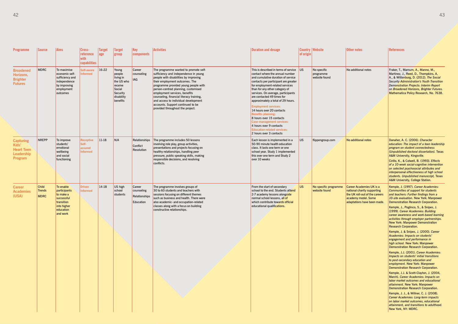| <b>Programme</b>                                                               | Source                                       | <b>Aims</b>                                                                                                | Cross-<br>reference<br>with<br>capabilities      | <b>Target</b><br> age | <b>Target</b><br>group                                                                                | $ $ Key<br>components                              | <b>Activities</b>                                                                                                                                                                                                                                                                                                                                                                                                                      | <b>Duration and dosage</b>                                                                                                                                                                                                                                                                                                                                                                                                                                                                                                                                                                    | of origin | <b>Country   Website</b>                  | Other notes                                                                                                                                            | References                                                                                                                                                                                                                                                                                                                                                                                                                                                                                                                                                                                                                                                                                                                                                                                                                                                                                                                                                                                                                                                                                                                                                                                                                                       |
|--------------------------------------------------------------------------------|----------------------------------------------|------------------------------------------------------------------------------------------------------------|--------------------------------------------------|-----------------------|-------------------------------------------------------------------------------------------------------|----------------------------------------------------|----------------------------------------------------------------------------------------------------------------------------------------------------------------------------------------------------------------------------------------------------------------------------------------------------------------------------------------------------------------------------------------------------------------------------------------|-----------------------------------------------------------------------------------------------------------------------------------------------------------------------------------------------------------------------------------------------------------------------------------------------------------------------------------------------------------------------------------------------------------------------------------------------------------------------------------------------------------------------------------------------------------------------------------------------|-----------|-------------------------------------------|--------------------------------------------------------------------------------------------------------------------------------------------------------|--------------------------------------------------------------------------------------------------------------------------------------------------------------------------------------------------------------------------------------------------------------------------------------------------------------------------------------------------------------------------------------------------------------------------------------------------------------------------------------------------------------------------------------------------------------------------------------------------------------------------------------------------------------------------------------------------------------------------------------------------------------------------------------------------------------------------------------------------------------------------------------------------------------------------------------------------------------------------------------------------------------------------------------------------------------------------------------------------------------------------------------------------------------------------------------------------------------------------------------------------|
| <b>Broadened</b><br>Horizons,<br><b>Brighter</b><br><b>Futures</b>             | <b>MDRC</b>                                  | To maximise<br>economic self-<br>sufficiency and<br>independence<br>by improving<br>employment<br>outcomes | Self-aware<br><b>Informed</b>                    | $16-22$               | Young<br>people<br>living in<br>the US who<br>receive<br>Social<br>Security<br>disability<br>benefits | Career<br>counseling<br>IAG                        | The programme wanted to promote self-<br>sufficiency and independence in young<br>people with disabilities by improving<br>their employment outcomes. The<br>programme provided young people with<br>person-centred planning, customised<br>employment services, benefits<br>counseling, financial literacy training,<br>and access to individual development<br>accounts. Support continued to be<br>provided throughout the project. | This is described in terms of service US<br>contact where the annual number<br>and cumulative duration of service<br>contacts per participant are greater<br>for employment-related services<br>than for any other category of<br>services. On average, participants<br>are contacted 49 times for<br>approximately a total of 29 hours.<br><b>Employment services:</b><br>14 hours over 20 contacts<br><b>Benefits planning:</b><br>8 hours over 15 contacts<br><b>Case-management services:</b><br>4 hours over 9 contacts<br><b>Education-related services:</b><br>2 hours over 3 contacts |           | No specific<br>programme<br>website found | No additional notes                                                                                                                                    | Fraker, T., Mamum, A., Manno, M.,<br>Martinez, J., Reed, D., Thompkins, A,<br>A., & Wittenburg, D. (2012). The Social<br>Security Administration's Youth Transition<br><b>Demonstration Projects: Interim Report</b><br>on Broadened Horizons, Brighter Futures.<br>Mathematica Policy Research, No. 7638.                                                                                                                                                                                                                                                                                                                                                                                                                                                                                                                                                                                                                                                                                                                                                                                                                                                                                                                                       |
| <b>Capturing</b><br>Kids'<br><b>Heart Teen</b><br>Leadership<br><b>Program</b> | NREPP                                        | To improve<br>students'<br>emotional<br>wellbeing<br>and social<br>functioning                             | <b>Receptive</b><br>Self-<br>assured<br>Informed | $ 11-18 $             | N/A                                                                                                   | Relationships<br>Conflict<br>Resolution            | The programme includes 50 lessons<br>involving role play, group activities,<br>presentations and projects focusing on<br>healthy relationships, handling peer<br>pressure, public speaking skills, making<br>responsible decisions, and resolving<br>conflicts.                                                                                                                                                                        | Each lesson is implemented in a<br>50-90 minute health education<br>class. It lasts one term or one<br>school year. Study 1 implemented<br>this over one term and Study 2<br>over 10 weeks                                                                                                                                                                                                                                                                                                                                                                                                    | <b>US</b> | flippengroup.com                          | No additional notes                                                                                                                                    | Danaher, A. C. (2006). Character<br>education: The impact of a teen leadership<br>program on student connectedness<br>(Unpublished doctoral dissertation). Texas<br>A&M University, Kingsville.<br>Cirillo, K., & Colwell, B. (1993). Effects<br>of a 10-week social-cognitive intervention<br>on selected psychosocial attributes and<br>interpersonal effectiveness of high school<br>students. Unpublished manuscript, Texas<br>A&M University, College Station.                                                                                                                                                                                                                                                                                                                                                                                                                                                                                                                                                                                                                                                                                                                                                                              |
| <b>Career</b><br><b>Academies</b><br>(USA)                                     | <b>Child</b><br><b>Trends</b><br><b>MDRC</b> | To enable<br>participants<br>to make a<br>successful<br>transition<br>into higher<br>education<br>and work | <b>Driven</b><br>Informed                        | $14-18$               | US high<br>school<br>students                                                                         | Career<br>counseling<br>Relationships<br>Education | The programme involves groups of<br>30 to 60 students and teachers with<br>sessions focusing on different themes<br>such as business and health. There were<br>also academic- and occupation-related<br>classes along with a focus on building<br>constructive relationships.                                                                                                                                                          | From the start of secondary<br>school to the end. Students attend<br>2-7 academy lessons alongside<br>normal school lessons, all of<br>which contribute towards official<br>educational qualifications.                                                                                                                                                                                                                                                                                                                                                                                       | US.       | No specific programme<br>website found    | <b>Career Academies UK is a</b><br>national charity supporting<br>the UK roll-out of the careers<br>academy model. Some<br>adaptations have been made. | Kemple, J. (1997). Career Academies:<br>Communities of support for students<br>and teachers: Further findings from a<br>10-site evaluation. New York: Manpower<br>Demonstration Research Corporation.<br>Kemple, J., Poglinco, S., & Snipes, J.<br>(1999). Career Academies: Building<br>career awareness and work-based learning<br>activities through employer partnerships.<br>New York: Manpower Demonstration<br><b>Research Corporation.</b><br>Kemple, J. & Snipes, J. (2000). Career<br>Academies: Impacts on students'<br>engagement and performance in<br>high school. New York: Manpower<br>Demonstration Research Corporation.<br>Kemple, J.J. (2001). Career Academies:<br>Impacts on students' initial transitions<br>to post-secondary education and<br>employment. New York: Manpower<br>Demonstration Research Corporation.<br>Kemple, J.J. & Scott-Clayton, J. (2004,<br>March). Career Academies: Impacts on<br>labor market outcomes and educational<br>attainment. New York: Manpower<br>Demonstration Research Corporation.<br>Kemple, J. J., & Willner, C. J. (2008).<br>Career Academies: Long-term impacts<br>on labor market outcomes, educational<br>attainment, and transitions to adulthood.<br>New York, NY: MDRC. |

| æs                       |         |             |  |
|--------------------------|---------|-------------|--|
|                          |         |             |  |
| ø<br><b>B</b> <i>B</i> . | $A$ $A$ | <b>B.A.</b> |  |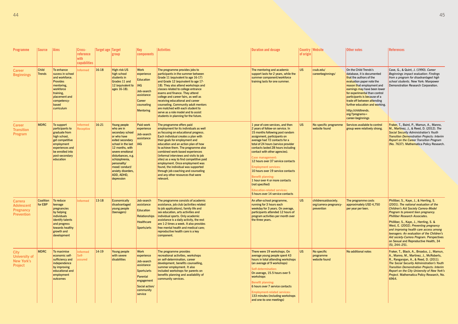| <b>Programme</b>                                                             | <b>Source</b>               | <b>Aims</b>                                                                                                                                                           | Cross-<br>reference<br>with<br>capabilities | Target age   Target | group                                                                                                                                                                                                                                                                     | Key<br>components                                                                                                                        | <b>Activities</b>                                                                                                                                                                                                                                                                                                                                                                                                                                                                                                                                              | <b>Duration and dosage</b>                                                                                                                                                                                                                                                                                                                                                                                                                                                                                                                                                     | of origin | <b>Country Website</b>                                       | <b>Other notes</b>                                                                                                                                                                                                                                                                                                                                                        | <b>References</b>                                                                                                                                                                                                                                                                                                                                                                                                                                                                                    |
|------------------------------------------------------------------------------|-----------------------------|-----------------------------------------------------------------------------------------------------------------------------------------------------------------------|---------------------------------------------|---------------------|---------------------------------------------------------------------------------------------------------------------------------------------------------------------------------------------------------------------------------------------------------------------------|------------------------------------------------------------------------------------------------------------------------------------------|----------------------------------------------------------------------------------------------------------------------------------------------------------------------------------------------------------------------------------------------------------------------------------------------------------------------------------------------------------------------------------------------------------------------------------------------------------------------------------------------------------------------------------------------------------------|--------------------------------------------------------------------------------------------------------------------------------------------------------------------------------------------------------------------------------------------------------------------------------------------------------------------------------------------------------------------------------------------------------------------------------------------------------------------------------------------------------------------------------------------------------------------------------|-----------|--------------------------------------------------------------|---------------------------------------------------------------------------------------------------------------------------------------------------------------------------------------------------------------------------------------------------------------------------------------------------------------------------------------------------------------------------|------------------------------------------------------------------------------------------------------------------------------------------------------------------------------------------------------------------------------------------------------------------------------------------------------------------------------------------------------------------------------------------------------------------------------------------------------------------------------------------------------|
| <b>Career</b><br><b>Beginnings</b>                                           | <b>Child</b><br>Trends      | To enhance<br>sucess in school<br>and workforce.<br><b>Provides</b><br>mentoring,<br>workforce<br>training,<br>placement and<br>competency-<br>based<br>curriculum    | <b>Informed</b>                             | 16-18               | <b>High-risk US</b><br>high school<br>students in<br>Grades 11 and<br>12 (equivalent to<br>ages 16-18).                                                                                                                                                                   | <b>Work</b><br>experience<br><b>Education</b><br><b>IAG</b><br>Job-search<br>assistance<br>Career<br>counseling<br><b>Mentoring</b>      | The programme provides jobs to<br>participants in the summer between<br>Grade 11 (equivalent to age 16-17)<br>and Grade 12 (equivalent to age 17-<br>18). They also attend workshops and<br>classes related to college entrance<br>exams and finance. They attend<br>college and career fairs, as well as<br>receiving educational and career<br>counseling. Community adult mentors<br>are matched with each student to<br>serve as a role model and to assist<br>students in planning for the future.                                                        | The mentoring and academic<br>support lasts for 2 years, while the<br>summer component/workforce<br>training lasts for one summer.                                                                                                                                                                                                                                                                                                                                                                                                                                             | <b>US</b> | csub.edu/<br>careerbeginnings/                               | On the Child Trends's<br>database, it is documented<br>that the authors of the<br>evaluation paper note the<br>reason that employment and<br>earnings may have been lower<br>for experimental than control<br>participants is because of a<br>trade off between attending<br>further education and working.<br>http://childtrends.<br>org/?programs=<br>career-beginnings | Cave, G., & Quint, J. (1990). Career<br>Beginnings impact evaluation: Findings<br>from a program for disadvantaged high<br>school students. New York: Manpower<br>Demonstration Research Corporation.                                                                                                                                                                                                                                                                                                |
| <b>Career</b><br><b>Transition</b><br><b>Program</b>                         | <b>MDRC</b>                 | To support<br>participants to<br>graduate from<br>high school,<br>get competitive<br>employment<br>experiences and<br>be enrolled into<br>post-secondary<br>education | <b>Informed</b><br><b>Receptive</b>         | $16-21$             | Young people<br>who are in<br>secondary school<br>or who have<br>exited secondary<br>school in the last<br>12 months, with<br>severe emotional<br>disturbances, e.g.<br>schizophrenia,<br>personality/<br>mood/conduct/<br>anxiety disorders.<br>ADD, ADHD,<br>depression | Paid-work<br>experience<br>Job-search<br>assistance<br><b>IAG</b>                                                                        | The programme offers paid<br>employment for its individuals as well<br>as focusing on educational progress.<br>Each individual creates a plan with<br>their goals for employment and<br>education and an action plan of how<br>to achieve them. The programme also<br>combined work-based experiences<br>(informal interviews and visits to job<br>sites) as a way to find competitive paid<br>employment. Once employment was<br>found, the individual was supported<br>through job coaching and counseling<br>and any other resources that were<br>relevant. | 1 year of core services, and then<br>2 years of follow-on service. In<br>15 months following post random<br>assignment, participants on<br>average had 72 contacts for a<br>total of 24 hours (service provider<br>contacts lasted 28 hours including<br>contact with other agencies).<br>Case management:<br>12 hours over 37 service contacts<br><b>Employment services:</b><br>10 hours over 19 service contacts<br><b>Benefit planning:</b><br>1 hour over 4 or more contacts<br>(not specified)<br><b>Education-related services:</b><br>5 hours over 14 service contacts | <b>US</b> | No specific programme<br>website found                       | Services available to control<br>group were relatively strong.                                                                                                                                                                                                                                                                                                            | Fraker, T., Baird, P., Mamun, A., Manno,<br>M., Martinez, J., & Reed, D. (2012). The<br><b>Social Security Administration's Youth</b><br><b>Transition Demonstration Projects: Interim</b><br><b>Report on the Career Transition Program</b><br>(No. 7637). Mathematica Policy Research.                                                                                                                                                                                                             |
| <b>Carrera</b><br><b>Adolescent</b><br><b>Pregnancy</b><br><b>Prevention</b> | <b>Coalition</b><br>for EBP | To reduce<br>teenage<br>pregnancies<br>by helping<br>individuals<br>identify talents<br>and progress<br>towards healthy<br>growth and<br>development                  | <b>Informed</b>                             | 13-18               | <b>Economically</b><br>disadvantaged<br>young people<br>(teenagers)                                                                                                                                                                                                       | Job-search<br>assistance<br>Education<br><b>Relationships</b><br><b>Healthcare</b><br>Sports/arts                                        | The programme consists of academic<br>assistance, job club (activities related<br>to job applications), family life and<br>sex education, arts activities and<br>individual sports. Only academic<br>assistance is a daily activity, the rest<br>are 1-2 times a week. It also provides<br>free mental health and medical care;<br>reproductive health care is a key<br>component.                                                                                                                                                                             | An after-school programme,<br>running for 3 hours each<br>weekday for 3 years. On average,<br>participants attended 12 hours of<br>program activities per month over<br>the three years.                                                                                                                                                                                                                                                                                                                                                                                       | <b>US</b> | childrensaidsociety.<br>org/carrera-pregnancy-<br>prevention | The programme costs<br>approximately USD 4,750<br>per year per teen.                                                                                                                                                                                                                                                                                                      | Philliber, S., Kaye, J., & Herrling, S.<br>(2001). The national evaluation of the<br><b>Children's Aid Society Carrera-Model</b><br>Program to prevent teen pregnancy.<br><b>Philliber Research Associates</b><br>Philliber, S., Kaye, J., Herrling, S. &<br>West, E. (2002). Preventing pregnancy<br>and improving health care access among<br>teenagers: An evaluation of the Children's<br>Aid society-Carrera Program. Perspectives<br>on Sexual and Reproductive Health, 34<br>$(5)$ , 244-251. |
| <b>City</b><br><b>University of</b><br><b>New York's</b><br><b>Project</b>   | <b>MDRC</b>                 | To maximise<br>economic self-<br>sufficiency and<br>independence<br>by improving<br>educational and<br>employment<br>outcomes                                         | <b>Informed</b><br>Self-<br>assured         | $ 14-19$            | Young people<br>with severe<br>disabilities                                                                                                                                                                                                                               | <b>Work</b><br>experience<br>Job-search<br>assistance<br>Sports/arts<br>Parental<br>engagement<br>Social action/<br>community<br>service | The programme provides<br>recreational activities, workshops<br>on self-determination, career<br>development, benefits counselling,<br>summer employment. It also<br>included workshops for parents on<br>benefits planning and availability of<br>community services.                                                                                                                                                                                                                                                                                         | There were 19 workshops. On<br>average young people spent 43<br>hours in total attending workshops<br>(an average of 9 workshops)<br>Self-determination:<br>On average, 15.5 hours over 5<br>workshops<br><b>Benefit planning:</b><br>6 hours over 7 service contacts<br><b>Employment-related services:</b><br>133 minutes (including workshops<br>and one-to-one meetings)                                                                                                                                                                                                   | <b>US</b> | No specific<br>programme<br>website found                    | No additional notes                                                                                                                                                                                                                                                                                                                                                       | Fraker, T., Black, A., Broadus, J., Mamun,<br>A., Manno, M., Martinez, J., McRoberts,<br>R., Rangarajan, A., & Reed, D. (2011).<br>The Social Security Administration's Youth<br><b>Transition Demonstration Projects: Interim</b><br>Report on the City University of New York's<br>Project. Mathematica Policy Research, No.<br>6964.                                                                                                                                                              |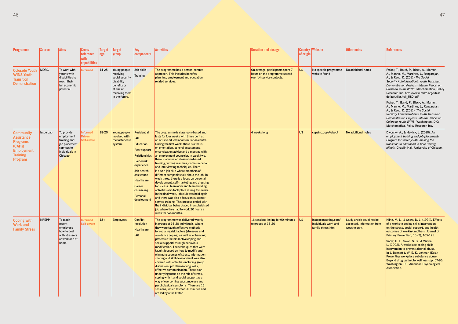| <b>Programme</b>                                                                                                      | Source           | <b>Aims</b>                                                                                           | Cross-<br>reference<br>with<br>capabilities | Target<br>age | Target<br>group                                             | Key<br>components                                                                                                                                                                               | <b>Activities</b>                                                                                                                                                                                                                                                                                                                                                                                                                                                                                                                                                                                                                                                                                                                                                                                                                                                                                                                                        | <b>Duration and dosage</b>                                    | of origin | <b>Country Website</b>                                               | Other notes                                                               | References                                                                                                                                                                                                                                                                                                                                                                                                                                                                                                                                     |                                                                                                                             |                        |                                                                                                                                   |                                                                                                |     |                                        |                     |                                                                                                                                                                                                                                                                                                                                            |
|-----------------------------------------------------------------------------------------------------------------------|------------------|-------------------------------------------------------------------------------------------------------|---------------------------------------------|---------------|-------------------------------------------------------------|-------------------------------------------------------------------------------------------------------------------------------------------------------------------------------------------------|----------------------------------------------------------------------------------------------------------------------------------------------------------------------------------------------------------------------------------------------------------------------------------------------------------------------------------------------------------------------------------------------------------------------------------------------------------------------------------------------------------------------------------------------------------------------------------------------------------------------------------------------------------------------------------------------------------------------------------------------------------------------------------------------------------------------------------------------------------------------------------------------------------------------------------------------------------|---------------------------------------------------------------|-----------|----------------------------------------------------------------------|---------------------------------------------------------------------------|------------------------------------------------------------------------------------------------------------------------------------------------------------------------------------------------------------------------------------------------------------------------------------------------------------------------------------------------------------------------------------------------------------------------------------------------------------------------------------------------------------------------------------------------|-----------------------------------------------------------------------------------------------------------------------------|------------------------|-----------------------------------------------------------------------------------------------------------------------------------|------------------------------------------------------------------------------------------------|-----|----------------------------------------|---------------------|--------------------------------------------------------------------------------------------------------------------------------------------------------------------------------------------------------------------------------------------------------------------------------------------------------------------------------------------|
| <b>Colorado Youth</b><br><b>WINS-Youth</b><br><b>Transition</b><br><b>Demonstration</b>                               | MDRC             | To work with<br>youths with<br>disabilities to<br>reach their<br>full economic<br>potential           |                                             |               |                                                             |                                                                                                                                                                                                 |                                                                                                                                                                                                                                                                                                                                                                                                                                                                                                                                                                                                                                                                                                                                                                                                                                                                                                                                                          |                                                               |           |                                                                      | <b>Informed</b>                                                           | $14-25$                                                                                                                                                                                                                                                                                                                                                                                                                                                                                                                                        | Young people<br>receiving<br>social security<br>disability<br>benefits or<br>at risk of<br>receiving them<br>in the future. | Job-skills<br>Training | The programme has a person-centred<br>approach. This includes benefits<br>planning, employment and education<br>related services. | On average, participants spent 7<br>hours on the programme spread<br>over 14 service contacts. | US. | No specific programme<br>website found | No additional notes | Fraker, T., Baird, P., Black, A., Mamun,<br>A., Manno, M., Martinez, J., Rangarajan,<br>A., & Reed, D. (2011) The Social<br>Security Administration's Youth Transition<br>Demonstration Projects: Interim Report on<br>Colorado Youth WINS. Matchematica, Policy<br>Research Inc. http://www.mdrc.org/sites/<br>default/files/full 580.pdf |
|                                                                                                                       |                  |                                                                                                       |                                             |               |                                                             |                                                                                                                                                                                                 |                                                                                                                                                                                                                                                                                                                                                                                                                                                                                                                                                                                                                                                                                                                                                                                                                                                                                                                                                          |                                                               |           |                                                                      |                                                                           | Fraker, T., Baird, P., Black, A., Mamun,<br>A., Manno, M., Martinez, J., Rangarajan,<br>A., & Reed, D. (2011). The Social<br>Security Administration's Youth Transition<br>Demonstration Projects: Interim Report on<br>Colorado Youth WINS. Washington, D.C:<br>Matchematica, Policy Research Inc.                                                                                                                                                                                                                                            |                                                                                                                             |                        |                                                                                                                                   |                                                                                                |     |                                        |                     |                                                                                                                                                                                                                                                                                                                                            |
| <b>Community</b><br><b>Assistance</b><br><b>Programs</b><br>(CAPs)<br><b>Employment</b><br><b>Training</b><br>Program | <b>Issue Lab</b> | To provide<br>employment<br>training and<br>job placement<br>services to<br>individuals in<br>Chicago | Informed<br><b>Driven</b><br>Self-aware     | 18-20         | Young people<br>involved with<br>the foster care<br>system. | Residential<br><b>IAG</b><br>Education<br>Peer support<br>Relationships<br>Paid-work<br>experience<br>Job-search<br>assistance<br>Healthcare<br>Career<br>counseling<br>Personal<br>development | The programme is classroom-based and<br>lasts for four weeks with time spent at<br>an off-site educational simulation centre.<br>During the first week, there is a focus<br>on orientation, general assessment,<br>emancipation advice and a meeting with<br>an employment counselor. In week two,<br>there is a focus on classroom-based<br>training, writing resumes, communication<br>and interviewing techniques. There<br>is also a job club where members of<br>different companies talk about the job. In<br>week three, there is a focus on personal<br>development, self-marketing and dressing<br>for sucess. Teamwork and team building<br>activities also took place during this week.<br>In the final week, job club was held again,<br>and there was also a focus on customer<br>service training. This process ended with<br>the individual being placed in a subsidised<br>job where they had to work 20 hours a<br>week for two months. | 4 weeks long                                                  | US.       | capsinc.org/#/about                                                  | No additional notes                                                       | Dworsky, A., & Havlick, J. (2010). An<br>employment training and job placement:<br>Program for foster youth, making the<br>transition to adulthood in Cork County,<br>Illinois. Chaplin Hall, University of Chicago.                                                                                                                                                                                                                                                                                                                           |                                                                                                                             |                        |                                                                                                                                   |                                                                                                |     |                                        |                     |                                                                                                                                                                                                                                                                                                                                            |
| <b>Coping with</b><br><b>Work and</b><br><b>Family Stress</b>                                                         | NREPP            | To teach<br>recent<br>employees<br>how to deal<br>with stressors<br>at work and at<br>home            | Informed<br>Self-aware                      | $18+$         | <b>Employees</b>                                            | <b>Conflict</b><br>resolution<br>Healthcare<br><b>IAG</b>                                                                                                                                       | The programme was delivered weekly<br>in groups of 15-20 individuals, where<br>they were taught effective methods<br>for reducing risk factors (stressors and<br>avoidance coping) as well as enhancing<br>protective factors (active coping and<br>social support) through behaviour<br>modification. The techniques that were<br>taught focused on how to modify and<br>eliminate sources of stress. Information<br>sharing and skill development was also<br>covered with activities including group<br>discussion, problem-solving skills,<br>effective communication. There is an<br>underlying focus on the role of stress,<br>coping with it and social support as a<br>way of overcoming substance use and<br>psychological symptoms. There are 16<br>sessions, which last for 90 minutes and<br>are led by a facilitator.                                                                                                                       | 16 sessions lasting for 90 minutes   US<br>to groups of 15-20 |           | instepconsulting.com/<br>individuals-work-and-<br>family-stress.html | Study article could not be<br>accessed. Information from<br>website only. | Kline, M. L., & Snow, D. L. (1994). Effects<br>of a worksite coping skills intervention<br>on the stress, social support, and health<br>outcomes of working mothers. Journal of<br>Primary Prevention, 15 (2), 105-121.<br>Snow, D. L., Swan, S. G., & Wilton,<br>L. (2002). A workplace coping skills<br>intervention to prevent alcohol abuse.<br>In J. Bennett & W. E. K. Lehman (Eds.),<br>Preventing workplace substance abuse:<br>Beyond drug testing to wellness (pp. 57-96).<br>Washington, DC: American Psychological<br>Association. |                                                                                                                             |                        |                                                                                                                                   |                                                                                                |     |                                        |                     |                                                                                                                                                                                                                                                                                                                                            |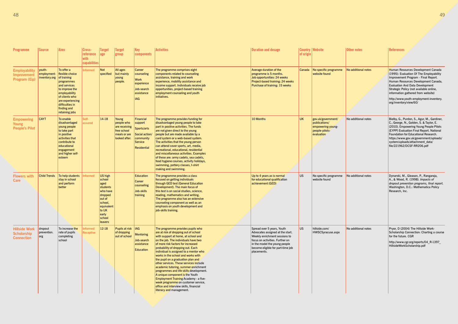| Programme                                                       | Source                                                     | <b>Aims</b>                                                                                                                                                                              | Cross-<br><b>reference</b><br>with<br>capabilities | Target<br> age                                                                                                                                | Target<br>group                                                                      | <b>Key</b><br>components                                                                                   | <b>Activities</b>                                                                                                                                                                                                                                                                                                                                                                                                                                                                                                                                                                                                                                                                       | <b>Duration and dosage</b>                                                                                                                                                                                              | of origin | <b>Country   Website</b>                                                                 | Other notes         | <b>References</b>                                                                                                                                                                                                                                                                                                                                          |
|-----------------------------------------------------------------|------------------------------------------------------------|------------------------------------------------------------------------------------------------------------------------------------------------------------------------------------------|----------------------------------------------------|-----------------------------------------------------------------------------------------------------------------------------------------------|--------------------------------------------------------------------------------------|------------------------------------------------------------------------------------------------------------|-----------------------------------------------------------------------------------------------------------------------------------------------------------------------------------------------------------------------------------------------------------------------------------------------------------------------------------------------------------------------------------------------------------------------------------------------------------------------------------------------------------------------------------------------------------------------------------------------------------------------------------------------------------------------------------------|-------------------------------------------------------------------------------------------------------------------------------------------------------------------------------------------------------------------------|-----------|------------------------------------------------------------------------------------------|---------------------|------------------------------------------------------------------------------------------------------------------------------------------------------------------------------------------------------------------------------------------------------------------------------------------------------------------------------------------------------------|
| <b>Employability</b><br>Improvement<br><b>Program (Eip)</b>     | youth-<br>employment-<br>$ $ inventory.org $ $ of training | To offer a<br>flexible choice<br>programmes<br>and services<br>to improve the<br>employability<br>of clients who<br>are experiencing<br>difficulties in<br>finding and<br>retaining jobs | <b>Informed</b>                                    | <b>Not</b><br>specified                                                                                                                       | All ages<br>but mainly<br>young<br>people.                                           | Career<br>counseling<br><b>Work</b><br>experience<br>Job-search<br>assistance<br><b>IAG</b>                | The programme comprises eight<br>components related to counseling<br>assistance, training and work<br>experience, mobility assistance and<br>income support. Individuals receive job<br>opportunities, project-based training<br>employment counseling and youth<br>initiatives.                                                                                                                                                                                                                                                                                                                                                                                                        | Average duration of the<br>programme is 5 months.<br>Job opportunities: 24 weeks<br>Project-based training: 24 weeks<br>Purchase of training: 15 weeks                                                                  | Canada    | No specific programme<br>website found                                                   | No additional notes | Human Resources Development Canada<br>(1995): Evaluation Of The Employability<br>Improvement Program - Final Report.<br>Human Resources Development Canada,<br><b>Evaluation And Data Development</b><br>Strategic Policy (not available online,<br>information gathered from website)<br>http://www.youth-employment-inventory.<br>org/inventory/view/60/ |
| <b>Empowering</b><br>Young<br><b>People's Pilot</b>             | <b>CAYT</b>                                                | To enable<br>disadvantaged<br>young people<br>to take part<br>in positive<br>activities that<br>contribute to<br>educational<br>engagement<br>and higher self-<br>esteem                 | Self-<br>assured                                   | $14-18$                                                                                                                                       | Young<br>people who<br>are receiving<br>free school<br>meals or are<br>looked after. | <b>Financial</b><br>support<br>Sports/arts<br>Social action/<br>community<br><b>Service</b><br>Residential | The programme provides funding for<br>disadvantaged young people to take<br>part in positive activities. The funds<br>are not given direct to the young<br>people but are made available by a<br>card system or a web-based system.<br>The activities that the young person<br>can attend cover sports, art, media,<br>recreational, educational, residential<br>and miscellaneous activities. Examples<br>of these are: army cadets, sea cadets,<br>food hygiene courses, activity holidays,<br>swimming, pottery classes, t-shirt<br>making and swimming.                                                                                                                             | 10 Months                                                                                                                                                                                                               | UK.       | gov.uk/government/<br>publications/<br>empowering-young-<br>people-pilots-<br>evaluation | No additional notes | Bielby, G., Purdon, S., Agur, M., Gardiner,<br>C., George, N., Golden, S. & Taylor, E.<br>(2010). Empowering Young People Pilots<br>(EYPP) Evaluation Final Report, National<br><b>Foundation for Educational Research.</b><br>https://www.gov.uk/government/uploads/<br>system/uploads/attachment_data/<br>file/221962/DCSF-RR206.pdf                     |
| <b>Flowers with</b><br><b>Care</b>                              | <b>Child Trends</b>                                        | To help students<br>stay in school<br>and perform<br>better                                                                                                                              | າformed                                            | US high<br>school<br>aged<br>students<br>who have<br>dropped<br>out of<br>school,<br>equivalent<br>to UK<br>early<br>school<br><b>leavers</b> |                                                                                      | <b>Education</b><br><b>Career</b><br>counseling<br>Job-skills<br>training                                  | The programme provides a class<br>focused on getting individuals<br>through GED test (General Education<br>Development). The main focus of<br>this test is on social studies, science,<br>reading, mathematics and writing.<br>The programme also has an extensive<br>counseling component as well as an<br>emphasis on youth development and<br>job-skills training.                                                                                                                                                                                                                                                                                                                   | Up to 4 years as is normal<br>for educational qualification<br>achievement (GED)                                                                                                                                        | US        | No specific programme<br>website found                                                   | No additional notes | Dynarski, M., Gleason, P., Rangaraja,<br>A., & Wood, R. (1998). Impacts of<br>dropout prevention programs, final report.<br>Washington, D.C.: Mathematica Policy<br>Research, Inc.                                                                                                                                                                         |
| <b>Hillside Work</b><br><b>Scholarship</b><br><b>Connection</b> | dropout<br>prevention.<br>org                              | To increase the<br>rate of pupils<br>completing<br>school                                                                                                                                | nformed<br>Receptive                               | $12-18$                                                                                                                                       | Pupils at risk   IAG<br>of dropping<br>out of school                                 | <b>Mentoring</b><br>Job-search<br>assistance<br>Education                                                  | The programme provides pupils who<br>are at risk of dropping out of school<br>with support at home, at school and<br>on the job. The individuals have two<br>of more risk factors for increased<br>probability of dropping out. Each<br>individual is assigned to a mentor who<br>works in the school and works with<br>the pupil on a graduation plan and<br>other services. These services include<br>academic tutoring, summer enrichment<br>programmes and life skills development.<br>A unique component is the Youth<br><b>Employment Training Academy - a five-</b><br>week programme on customer service,<br>office and interview skills, financial<br>literacy and management. | Spread over 5 years, Youth<br>Advocates assigned at the start.<br>Weekly enrichment sessions to<br>focus on activities. Further on<br>in the model the young people<br>become eligible for part-time job<br>placements. | US        | hillside.com/<br>HWSCSyracuse.aspx                                                       | No additional notes | Pryor, D (2004) The Hillside Work-<br>Scholarship Connection: Charting a course<br>for the future. CGR<br>http://www.cgr.org/reports/04_R-1397_<br>HillsideWorkScholarship.pdf                                                                                                                                                                             |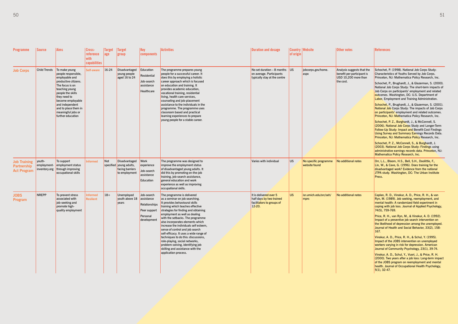| <b>Programme</b>                                         | <b>Source</b>           | <b>Aims</b>                                                                                                                                                                                                                                                         | Cross-<br>reference<br>with<br>capabilities | <b>Target</b><br> age | Target<br>group                                                              | Key<br>components                                                                    | <b>Activities</b>                                                                                                                                                                                                                                                                                                                                                                                                                                                                                                                                                                  | <b>Duration and dosage</b>                                                                    | of origin | <b>Country Website</b>                 | Other notes                                                                                   | <b>References</b>                                                                                                                                                                                                                                                                                                                                                                                                                                                                                                                                                                                                                                                                                                                                                                                                                                                                                                                                                                                                                                                                                                                             |
|----------------------------------------------------------|-------------------------|---------------------------------------------------------------------------------------------------------------------------------------------------------------------------------------------------------------------------------------------------------------------|---------------------------------------------|-----------------------|------------------------------------------------------------------------------|--------------------------------------------------------------------------------------|------------------------------------------------------------------------------------------------------------------------------------------------------------------------------------------------------------------------------------------------------------------------------------------------------------------------------------------------------------------------------------------------------------------------------------------------------------------------------------------------------------------------------------------------------------------------------------|-----------------------------------------------------------------------------------------------|-----------|----------------------------------------|-----------------------------------------------------------------------------------------------|-----------------------------------------------------------------------------------------------------------------------------------------------------------------------------------------------------------------------------------------------------------------------------------------------------------------------------------------------------------------------------------------------------------------------------------------------------------------------------------------------------------------------------------------------------------------------------------------------------------------------------------------------------------------------------------------------------------------------------------------------------------------------------------------------------------------------------------------------------------------------------------------------------------------------------------------------------------------------------------------------------------------------------------------------------------------------------------------------------------------------------------------------|
| <b>Job Corps</b>                                         | <b>Child Trends</b>     | To make young<br>people responsible,<br>employable and<br>productive citizens.<br>The focus is on<br>teaching young<br>people the skills<br>they need to<br>become employable<br>and independent<br>and to place them in<br>meaningful jobs or<br>further education | <b>Self-aware</b>                           | $ 16-24 $             | Disadvantaged<br>young people<br>aged 16 to 24                               | Education<br>Residential<br>Job-search<br>assistance<br>Healthcare                   | The programme prepares young<br>people for a successful career. It<br>does this by employing a holistic<br>career approach which is focused<br>on education and training. It<br>provides academic education,<br>vocational training, residential<br>living, health care services,<br>counseling and job-placement<br>assistance to the individuals in the<br>programme. The programme uses<br>classroom based and practical<br>learning experiences to prepare<br>young people for a stable career.                                                                                | No set duration $-8$ months US<br>on average. Participants<br>typically stay at the centre    |           | jobcorps.gov/home.<br>aspx             | Analysis suggests that the<br>benefit per participant is<br>USD 10,200 more than<br>the cost. | Schochet, P. (1998). National Job Corps Study:<br>Characteristics of Youths Served by Job Corps.<br>Princeton, NJ: Mathematica Policy Research, Inc.<br>Schochet, P., Brughardt, J., & Glazerman, S. (2000).<br>National Job Corps Study: The short-term impacts of<br>Job Corps on participants' employment and related<br>outcomes. Washington, DC: U.S. Department of<br><b>Labor, Employment and Training Administration.</b><br>Schochet, P., Brughardt, J., & Glazerman, S. (2001).<br>National Job Corps Study: The impacts of Job Corps<br>on participants' employment and related outcomes.<br>Princeton, NJ: Mathematica Policy Research, Inc.<br>Schochet, P. Z., Burghardt, J., & McConnell, S.<br>(2006). National Job Corps Study and Longer-Term<br><b>Follow-Up Study: Impact and Benefit-Cost Findings</b><br><b>Using Survey and Summary Earnings Records Data.</b><br>Princeton, NJ: Mathematica Policy Research, Inc.<br>Schochet, P. Z., McConnell, S., & Burghardt, J.<br>(2003). National Job Corps Study: Findings using<br>administrative earnings records data. Princeton, NJ:<br>Mathematica Policy Research, Inc. |
| <b>Job Training</b><br>Partnership<br><b>Act Program</b> | youth-<br>inventory.org | To support<br>employment- employment status<br>through improving<br>occupational skills                                                                                                                                                                             | <b>Informed</b>                             | <b>Not</b>            | Disadvantaged<br>specified young adults,<br>facing barriers<br>to employment | Work<br>experience<br>Job-search<br>assistance<br>Education                          | The programme was designed to<br>improve the employment status<br>of disadvantaged young adults. It<br>did this by promoting on-the-job<br>training, job-search assistance,<br>general education and work<br>experience as well as improving<br>occupational skills.                                                                                                                                                                                                                                                                                                               | Varies with individual                                                                        | <b>US</b> | No specific programme<br>website found | No additional notes                                                                           | Orr, L.L., Bloom, H.S., Bell, S.H., Doolittle, F.,<br>Lin, W., & Cave, G. (1996). Does training for the<br>disadvantaged work? Evidence from the national<br>JTPA study. Washington, DC: The Urban Institute<br>Press.                                                                                                                                                                                                                                                                                                                                                                                                                                                                                                                                                                                                                                                                                                                                                                                                                                                                                                                        |
| <b>JOBS</b><br>Program                                   | <b>NREPP</b>            | To prevent stress<br>associated with<br>job-seeking and<br>promote high-<br>quality employment                                                                                                                                                                      | <b>Informed</b><br><b>Resilient</b>         | $ 18+$                | Unemployed<br>vouth above 18<br>years                                        | Job-search<br>assistance<br>Relationships<br>Peer support<br>Personal<br>development | The programme is delivered<br>as a seminar on job searching.<br>It provides behavioural skills<br>training which teaches effective<br>strategies for finding and obtaining<br>employment as well as dealing<br>with the setbacks. The programme<br>also incorporates elements which<br>increase the individuals self esteem,<br>sense of control and job search<br>self-efficacy. It uses a wide range of<br>techniques to do this: discussions,<br>role-playing, social networks,<br>problem-solving, identifying job<br>skilling and assistance with the<br>application process. | It is delivered over 5<br>half days by two trained<br>facilitators to groups of<br>$12 - 20.$ | lus.      | isr.umich.edu/src/seh/<br>mprc         | No additional notes                                                                           | Caplan, R. D., Vinokur, A. D., Price, R. H., & van<br>Ryn, M. (1989). Job seeking, reemployment, and<br>mental health: A randomized field experiment in<br>coping with job loss. Journal of Applied Psychology,<br>74(5), 759-769.<br>Price, R. H., van Ryn, M., & Vinokur, A. D. (1992).<br>Impact of a preventive job search intervention on<br>the likelihood of depression among the unemployed.<br>Journal of Health and Social Behavior, 33(2), 158-<br>167.<br>Vinokur, A. D., Price, R. H., & Schul, Y. (1995).<br>Impact of the JOBS intervention on unemployed<br>workers varying in risk for depression. American<br>Journal of Community Psychology, 23(1), 39-74.<br>Vinokur, A. D., Schul, Y., Vuori, J., & Price, R. H.<br>(2000). Two years after a job loss: Long-term impact<br>of the JOBS program on reemployment and mental<br>health. Journal of Occupational Health Psychology,<br>$5(1), 32-47.$                                                                                                                                                                                                                      |
|                                                          |                         |                                                                                                                                                                                                                                                                     |                                             |                       |                                                                              |                                                                                      |                                                                                                                                                                                                                                                                                                                                                                                                                                                                                                                                                                                    |                                                                                               |           |                                        |                                                                                               |                                                                                                                                                                                                                                                                                                                                                                                                                                                                                                                                                                                                                                                                                                                                                                                                                                                                                                                                                                                                                                                                                                                                               |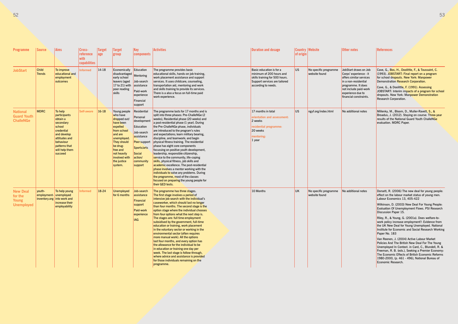| <b>Programme</b>                                                | <b>Source</b>                 | <b>Aims</b>                                                                                                                                                         | Cross-<br>reference<br>with<br>capabilities | Target<br>age | <b>Target</b><br>group                                                                                                                                                                                     | Key<br>components                                                                                                                                           | <b>Activities</b>                                                                                                                                                                                                                                                                                                                                                                                                                                                                                                                                                                                                                                                                                                                                                                                                                                          | <b>Duration and dosage</b>                                                                                                                     | of origin | <b>Country Website</b>                 | Other notes                                                                                                                                                                                      | <b>References</b>                                                                                                                                                                                                                                                                                                                                                                                                                                                                                                                                                                                                                                                                                                                                                                                                                         |
|-----------------------------------------------------------------|-------------------------------|---------------------------------------------------------------------------------------------------------------------------------------------------------------------|---------------------------------------------|---------------|------------------------------------------------------------------------------------------------------------------------------------------------------------------------------------------------------------|-------------------------------------------------------------------------------------------------------------------------------------------------------------|------------------------------------------------------------------------------------------------------------------------------------------------------------------------------------------------------------------------------------------------------------------------------------------------------------------------------------------------------------------------------------------------------------------------------------------------------------------------------------------------------------------------------------------------------------------------------------------------------------------------------------------------------------------------------------------------------------------------------------------------------------------------------------------------------------------------------------------------------------|------------------------------------------------------------------------------------------------------------------------------------------------|-----------|----------------------------------------|--------------------------------------------------------------------------------------------------------------------------------------------------------------------------------------------------|-------------------------------------------------------------------------------------------------------------------------------------------------------------------------------------------------------------------------------------------------------------------------------------------------------------------------------------------------------------------------------------------------------------------------------------------------------------------------------------------------------------------------------------------------------------------------------------------------------------------------------------------------------------------------------------------------------------------------------------------------------------------------------------------------------------------------------------------|
| <b>JobStart</b>                                                 | <b>Child</b><br><b>Trends</b> | To improve<br>educational and<br>employment<br>outcomes                                                                                                             | <b>Informed</b>                             | $14-18$       | Economically<br>disadvantaged<br>early school<br>leavers (aged<br>17 to 21) with<br>poor reading<br>skills                                                                                                 | Education<br>Mentoring<br>Job-search<br>assistance<br>Paid-work<br>experience<br>Financial<br>support                                                       | The programme provides basic<br>educational skills, hands-on job training,<br>work placement assistance and support<br>services. It uses childcare, counseling,<br>transportation aid, mentoring and work<br>and skills training to provide its services.<br>There is a also a focus on full-time paid<br>work experience.                                                                                                                                                                                                                                                                                                                                                                                                                                                                                                                                 | Basic education is for a<br>minimum of 200 hours and<br>skills training for 500 hours.<br>Support services are tailored<br>according to needs. | <b>US</b> | No specific programme<br>website found | JobStart draws on Job<br>Corps' experience - it<br>offers similar services<br>in a non-residential<br>programme. It does<br>not include paid-work<br>experience due to<br>financial constraints. | Cave, G., Bos, H., Doolittle, F., & Toussaint, C.<br>(1993). JOBSTART: Final report on a program<br>for school dropouts. New York: Manpower<br>Demonstration Research Corporation.<br>Cave, G., & Doolittle, F. (1991). Assessing<br>JOBSTART: Interim impacts of a program for school<br>dropouts. New York: Manpower Demonstration<br>Research Corporation.                                                                                                                                                                                                                                                                                                                                                                                                                                                                             |
| <b>National</b><br><b>Guard Youth</b><br><b>ChalleNGe</b>       | <b>MDRC</b>                   | To help<br>participants<br>obtain a<br>secondary<br>school<br>credential<br>and develop<br>attitudes and<br>behaviour<br>patterns that<br>will help them<br>succeed | <b>Self-aware</b>                           | $16-18$       | Young people<br>who have<br>dropped out<br>have been<br>expelled<br>from school<br>and are<br>unemployed.<br>They should<br>be drug-<br>free and<br>not heavily<br>involved with<br>the justice<br>system. | Residential<br>Personal<br>development<br>Education<br>Job-search<br>assistance<br>Peer support<br>Sports/arts<br>Social<br>action/<br>community<br>support | The programme lasts for 17 months and is<br>split into three phases: Pre-ChalleNGe (2<br>weeks), Residential phase (20 weeks) and<br>a post-residential phase (1 year). During<br>the Pre-ChalleNGe phase, individuals<br>are introduced to the program's rules<br>and expectations; learn military bearing,<br>discipline, and teamwork; and begin<br>physical fitness training. The residential<br>phase has eight core components<br>focussing on positive youth development,<br>leadership, responsible citizenship,<br>service to the community, life-coping<br>skills, physical fitness, job skills and<br>academic excellence. The post-residential<br>phase involves a mentor working with the<br>individuals to solve any problems. During<br>the programme, most of the classes<br>focused on preparing the young people for<br>their GED tests. | 17 months in total<br>orientation and assessment:<br>2 weeks<br>residential programme:<br>20 weeks<br>mentoring:<br>1 year                     | <b>US</b> | ngyf.org/index.html                    | No additional notes                                                                                                                                                                              | Millenky, M., Bloom, D., Muller-Ravett, S., &<br>Broadus, J. (2012). Staying on course: Three-year<br>results of the National Guard Youth ChalleNGe<br>evaluation. MDRC Paper.                                                                                                                                                                                                                                                                                                                                                                                                                                                                                                                                                                                                                                                            |
| <b>New Deal</b><br>for the<br><b>Young</b><br><b>Unemployed</b> | youth-                        | To help young<br>employment- unemployed<br>inventory.org into work and<br>increase their<br>employability                                                           | Informed                                    | 18-24         | <b>Unemployed</b><br>for 6 months                                                                                                                                                                          | Job-search<br>assistance<br>Financial<br>support<br>Paid-work<br>experience<br><b>IAG</b>                                                                   | The programme has three stages.<br>The first stage involves a period of<br>intensive job search with the individual's<br>caseworker, which should last no longer<br>than four months. The second stage is the<br>option stage where the individual chooses<br>from four options what the next step is.<br>The stages are: full time employment<br>subsidised by the government, full-time<br>education or training, work placement<br>in the voluntary sector or working in the<br>environmental sector (often requires<br>more manual work). All the options<br>last four months, and every option has<br>the allowance for the individual to be<br>in education or training one day per<br>week. The last stage is follow-through,<br>where advice and assistance is provided<br>for those individuals remaining on the<br>programme.                    | 10 Months                                                                                                                                      | UK        | No specific programme<br>website found | No additional notes                                                                                                                                                                              | Dorsett, R. (2006) The new deal for young people:<br>effect on the labour market status of young men.<br>Labour Economics 13, 405-422<br>Wilkinson, D. (2003) New Deal For Young People:<br>Evaluation Of Unemployment Flows. PSI Research<br>Discussion Paper 15.<br>Riley, R., & Young, G. (2001a). Does welfare-to-<br>work policy increase employment?: Evidence from<br>the UK New Deal for Young Unemployed. National<br>Institute for Economic and Social Research Working<br>Paper No. 183<br>Van Reenen, J. (2004) Active Labour Market<br>Policies And The British New Deal For The Young<br>Unemployed In Context. in Card, C., Blundell, R. &<br>Freeman, R. B. (eds.), Seeking a Premier Economy:<br>The Economic Effects of British Economic Reforms<br>1980-2000, (p. 461 - 496), National Bureau of<br>Economic Research. |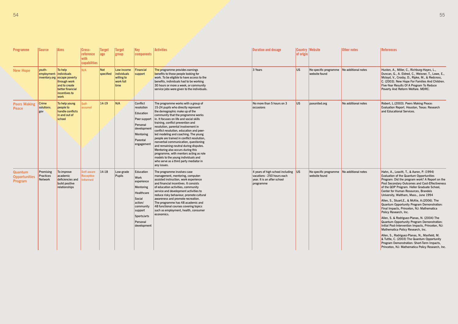| <b>Programme</b>                                         | <b>Source</b>                     | <b>Aims</b>                                                                                                           | Cross-<br>reference<br>with<br>capabilities | larget<br>age    | <b>Target</b><br>group                                       | Key<br>components                                                                                                                                        | <b>Activities</b>                                                                                                                                                                                                                                                                                                                                                                                                                                                                                                                                                                                                                                                             | <b>Duration and dosage</b>                                                                                    | <b>Country Website</b><br>of origin |                                                            | Other notes         | <b>References</b>                                                                                                                                                                                                                                                                                                                                                                                                                                                                                                                                                                                                                                                                                                                                                                                                                                                                       |
|----------------------------------------------------------|-----------------------------------|-----------------------------------------------------------------------------------------------------------------------|---------------------------------------------|------------------|--------------------------------------------------------------|----------------------------------------------------------------------------------------------------------------------------------------------------------|-------------------------------------------------------------------------------------------------------------------------------------------------------------------------------------------------------------------------------------------------------------------------------------------------------------------------------------------------------------------------------------------------------------------------------------------------------------------------------------------------------------------------------------------------------------------------------------------------------------------------------------------------------------------------------|---------------------------------------------------------------------------------------------------------------|-------------------------------------|------------------------------------------------------------|---------------------|-----------------------------------------------------------------------------------------------------------------------------------------------------------------------------------------------------------------------------------------------------------------------------------------------------------------------------------------------------------------------------------------------------------------------------------------------------------------------------------------------------------------------------------------------------------------------------------------------------------------------------------------------------------------------------------------------------------------------------------------------------------------------------------------------------------------------------------------------------------------------------------------|
| <b>New Hope</b>                                          | youth-<br>employment- individuals | To help<br>inventory.org escape poverty<br>through work<br>and to create<br>better financial<br>incentives to<br>work | N/A                                         | Not<br>specified | Low income<br>individuals<br>willing to<br>work full<br>time | Financial<br>support                                                                                                                                     | The programme provides earnings<br>benefits to those people looking for<br>work. To be eligible to have access to the<br>benefits, individuals had to be working<br>30 hours or more a week, or community<br>service jobs were given to the individuals.                                                                                                                                                                                                                                                                                                                                                                                                                      | 3 Years                                                                                                       | US.                                 | No specific programme No additional notes<br>website found |                     | Huston, A., Miller, C., Richburg-Hayes, L.,<br>Duncan, G., A. Eldred, C., Weisner, T., Lowe, E.,<br>Mcloyd, V., Crosby, D., Ripke, M., & Redcross,<br>C. (2003). New Hope For Families And Children.<br>Five-Year Results Of A Program To Reduce<br>Poverty And Reform Welfare. MDRC.                                                                                                                                                                                                                                                                                                                                                                                                                                                                                                                                                                                                   |
| <b>Peers Making</b><br>Peace                             | <b>Crime</b><br>solutions.<br>gov | To help young<br>people to<br>handle conflicts<br>in and out of<br>school                                             | Self-<br>assured                            | $ 14-19 $        | N/A                                                          | Conflict<br>resolution<br>Education<br>Peer support<br>Personal<br>development<br><b>Mentoring</b><br>Parental<br>engagement                             | The programme works with a group of<br>15-24 pupils who directly represent<br>the demographic make up of the<br>community that the programme works<br>in. It focuses on life and social skills<br>training, conflict prevention and<br>resolution, parental involvement in<br>conflict resolution, education and peer-<br>led modeling and coaching. The young<br>people are trained in conflict resolution,<br>nonverbal communication, questioning<br>and remaining neutral during disputes.<br>Mentoring also occurs during this<br>programme, with mentors acting as role<br>models to the young individuals and<br>who serve as a third party mediator in<br>any issues. | No more than 5 hours on 3<br>occasions                                                                        | <b>US</b>                           | paxunited.org                                              | No additional notes | Robert, L.(2003). Peers Making Peace:<br>Evaluation Report. Houston, Texas: Research<br>and Educational Services.                                                                                                                                                                                                                                                                                                                                                                                                                                                                                                                                                                                                                                                                                                                                                                       |
| <b>Quantum</b><br><b>Opportunities</b><br><b>Program</b> | Promising<br>Practices<br>Network | To improve<br>academic<br>deficiencies and<br>build positive<br>relationships                                         | Self-aware<br><b>Receptive</b><br>nformed   | $ 14-18 $        | Low-grade<br><b>Pupils</b>                                   | Education<br>Work<br>experience<br><b>Mentoring</b><br>Healthcare<br>Social<br>action/<br>community<br>support<br>Sports/arts<br>Personal<br>development | The programme involves case<br>management, mentoring, computer-<br>assisted instruction, work experience<br>and financial incentives. It consists<br>of education activities, community<br>service and development activities to<br>reduce risky behaviour, promote cultural<br>awareness and promote recreation.<br>The programme has 48 academic and<br>48 functional courses covering topics<br>such as employment, health, consumer<br>economics.                                                                                                                                                                                                                         | 4 years of high school including US<br>vacations - 250 hours each<br>year. It is an after school<br>programme |                                     | No specific programme<br>website found                     | No additional notes | Hahn, A., Leavitt, T., & Aaron, P. (1994)<br>Evaluation of the Quantum Opportunities<br>Program: Did the program work? A Report on the<br>Post Secondary Outcomes and Cost-Effectiveness<br>of the QOP Program. Heller Graduate School,<br>Center for Human Resources, Brandeis<br>University, Waltham, Mass., June 1994<br>Allen, S., Stuart, E., & McKie, A. (2006). The<br>Quantum Opportunity Program Demonstration:<br>Final Impacts, Princeton, NJ: Mathematica<br>Policy Research, Inc.<br>Allen, S. & Rodriguez-Planas, N. (2004) The<br>Quantum Opportunity Program Demonstration:<br>Initial Post-Intervention Impacts, Princeton, NJ:<br>Mathematica Policy Research, Inc.<br>Allen, S., Rodriguez-Planas, N., Maxfield, M.<br>& Tuttle, C. (2003) The Quantum Opportunity<br>Program Demonstration: Short-Term Impacts,<br>Princeton, NJ: Mathematica Policy Research, Inc. |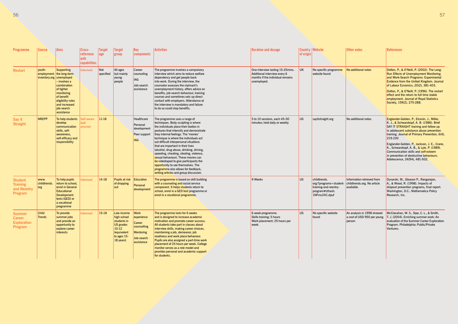| <b>Programme</b>                                                | <b>Source</b>                 | Aims                                                                                                                                                                                                           | Cross-<br>reference<br>with<br>capabilities | <b>Target</b><br>age | <b>Target</b><br>group                                                                                             | <b>Key</b><br>components                                                                           | <b>Activities</b>                                                                                                                                                                                                                                                                                                                                                                                                                                                                                                                                                                                                        | <b>Duration and dosage</b>                                                                                           | of origin | <b>Country Website</b>                                                                              | Other notes                                                             | <b>References</b>                                                                                                                                                                                                                                                                                                                                                                                                                                             |
|-----------------------------------------------------------------|-------------------------------|----------------------------------------------------------------------------------------------------------------------------------------------------------------------------------------------------------------|---------------------------------------------|----------------------|--------------------------------------------------------------------------------------------------------------------|----------------------------------------------------------------------------------------------------|--------------------------------------------------------------------------------------------------------------------------------------------------------------------------------------------------------------------------------------------------------------------------------------------------------------------------------------------------------------------------------------------------------------------------------------------------------------------------------------------------------------------------------------------------------------------------------------------------------------------------|----------------------------------------------------------------------------------------------------------------------|-----------|-----------------------------------------------------------------------------------------------------|-------------------------------------------------------------------------|---------------------------------------------------------------------------------------------------------------------------------------------------------------------------------------------------------------------------------------------------------------------------------------------------------------------------------------------------------------------------------------------------------------------------------------------------------------|
| <b>Restart</b>                                                  | youth-                        | Supporting<br>employment- the long-term<br>inventory.org unemployed<br>- involves a<br>combination<br>of tighter<br>monitoring<br>of benefit<br>eligibility rules<br>and increased<br>job-search<br>assistance | <b>Informed</b>                             | Not<br>specified     | All ages<br>but mainly<br>young<br>people                                                                          | Career<br>counseling<br>IAG<br>Job-search<br>assistance                                            | The programme involves a compulsory<br>interview which aims to reduce welfare<br>dependency and get people back<br>into work. During the interview, the<br>counselor assesses the claimant's<br>unemployment history, offers advice on<br>benefits, job-search behaviour, training<br>courses and sometimes sets up direct<br>contact with employers. Attendance at<br>the interview is mandatory and failure<br>to do so could stop benefits.                                                                                                                                                                           | One interview lasting 15-25 mins.<br>Additional interview every 6<br>months if the individual remains<br>unemployed. | UK.       | No specific programme<br>website found                                                              | No additional notes                                                     | Dolton, P., & O'Neill, P. (2002). The Long-<br><b>Run Effects of Unemployment Monitoring</b><br>and Work-Search Programs: Experimental<br>Evidence from the United Kingdom. Journal<br>of Labour Ecnomics, 20(2), 381-403.<br>Dolton, P., & O'Neill, P. (1996). The restart<br>effect and the return to full time stable<br>employment. Journal of Royal Statistics<br>Society, 159(2), 275-288.                                                              |
| Say it<br><b>Straight</b>                                       | <b>NREPP</b>                  | To help students<br>develop<br>communication<br>skills, self-<br>awareness,<br>self-efficacy and<br>responsibility                                                                                             | Self-aware<br>Self-<br>assured              | $ 11-18 $            |                                                                                                                    | Healthcare<br>Personal<br>development<br>Peer support<br><b>IAG</b>                                | The programme uses a range of<br>techniques. Body sculpting is where<br>the individuals place their bodies in<br>postures that intensify and demonstrate<br>they internal feelings. The 'movies'<br>technique is where the individuals act<br>out difficult interpersonal situations<br>that are important in their lives<br>(alcohol, drug abuse, drinking, driving,<br>speeding, cheating, stealing, violence,<br>sexual behaviour). These movies can<br>be videotaped to give participants the<br>opportunity to see themselves. The<br>programme also allows for feedback,<br>writing articles and group discussion. | 5 to 10 sessions, each 45-50<br>minutes; held daily or weekly                                                        | US.       | sayitstraight.org                                                                                   | No additional notes                                                     | Englander-Golden, P., Elconin, J., Miller,<br>K. J., & Schwarzkopf, A. B. (1986). Brief<br>SAY IT STRAIGHT training and follow-up<br>in adolescent substance abuse prevention<br>training. Journal of Primary Prevention, 6(4),<br>219-230<br>Englander-Golden, P., Jackson, J. E., Crane,<br>K., Schwarzkopf, A. B., & Lyle, P. (1989).<br>Communication skills and self-esteem<br>in prevention of destructive behaviours.<br>Adolescence, 24(94), 481-502. |
| <b>Student</b><br><b>Training</b><br>and Reentry<br>Program     | www.<br>childtrends.<br>org   | To help pupils<br>return to school,<br>enrol in General<br>Educational<br>Development<br>tests (GED) or<br>a vocational<br>programme                                                                           | <b>Informed</b>                             | $14-18$              | <b>Pupils at risk</b><br>of dropping<br>out                                                                        | Education<br>Personal<br>development                                                               | The programme is based on skill building<br>with a counseling and social service<br>component. It helps students return to<br>school, enrol in a GED test programme or<br>enrol in a vocational programme.                                                                                                                                                                                                                                                                                                                                                                                                               | 9 Weeks                                                                                                              | US.       | childtrends.<br>org/?programs=student-<br>training-and-reentry-<br>program#sthash.<br>1NFmc24C.dpuf | Information retrieved from<br>childtrends.org. No article<br>available. | Dynarski, M., Gleason P., Rangarajan,<br>A., & Wood, R. (1998). Impacts of<br>dropout prevention programs, final report.<br>Washington, D.C.: Mathematica Policy<br>Research, Inc.                                                                                                                                                                                                                                                                            |
| <b>Summer</b><br><b>Career</b><br><b>Exploration</b><br>Program | <b>Child</b><br><b>Trends</b> | To provide<br>summer jobs<br>and provide an<br>opportunity to<br>explore career<br>interests                                                                                                                   | <b>Informed</b>                             | 15-18                | Low income<br>high school<br>students in<br><b>US</b> grades<br>$10-12$<br>cequivalent<br>to ages 15-<br>18 years) | <b>Work</b><br>experience<br>Career<br>counselling<br><b>Mentoring</b><br>Job-search<br>assistance | The programme lasts for 6 weeks<br>and is designed to increase academic<br>motivation and promote career success.<br>All students take part in classes about<br>interview skills, making career choices,<br>maintaining a job, demeanor, job<br>readiness and work place behaviour.<br>Pupils are also assigned a part-time work<br>placement of 25 hours per week. College<br>monitor serves as a role model and<br>provides personal and academic support<br>for students.                                                                                                                                             | 6 week programme.<br>Skills training: 5 hours<br>Work placement: 25 hours per<br>week.                               | <b>US</b> | No specific website<br>found                                                                        | An analysis in 1998 showed<br>person                                    | McClanahan, W. S., Sipe, C. L., & Smith,<br>a cost of USD 950 per young $\vert$ T. J. (2004). Enriching summer work: An<br>evaluation of the Summer Career Exploration<br>Program. Philadelphia: Public/Private<br>Ventures.                                                                                                                                                                                                                                  |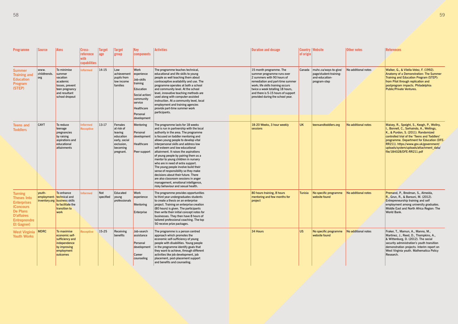| Programme                                                                                                                                     | Source                      | <b>Aims</b>                                                                                                            | Cross-<br>reference<br>with<br>capabilities | Target<br> age   | <b>Target</b><br>group                                                                                | Key<br>$ \mathop{\mathsf{components}}$                                                                                                              | <b>Activities</b>                                                                                                                                                                                                                                                                                                                                                                                                                                                                                                                                                                                                                                                                       | <b>Duration and dosage</b>                                                                                                                                                                                                                                                 | of origin | Country Website                                                                          | <b>Other notes</b>  | <b>References</b>                                                                                                                                                                                                                                                                                                                              |
|-----------------------------------------------------------------------------------------------------------------------------------------------|-----------------------------|------------------------------------------------------------------------------------------------------------------------|---------------------------------------------|------------------|-------------------------------------------------------------------------------------------------------|-----------------------------------------------------------------------------------------------------------------------------------------------------|-----------------------------------------------------------------------------------------------------------------------------------------------------------------------------------------------------------------------------------------------------------------------------------------------------------------------------------------------------------------------------------------------------------------------------------------------------------------------------------------------------------------------------------------------------------------------------------------------------------------------------------------------------------------------------------------|----------------------------------------------------------------------------------------------------------------------------------------------------------------------------------------------------------------------------------------------------------------------------|-----------|------------------------------------------------------------------------------------------|---------------------|------------------------------------------------------------------------------------------------------------------------------------------------------------------------------------------------------------------------------------------------------------------------------------------------------------------------------------------------|
| <b>Summer</b><br><b>Training and</b><br><b>Education</b><br>Program<br>(STEP)                                                                 | www.<br>childtrends.<br>org | To minimise<br>summer<br>vacation<br>academic<br>losses, prevent<br>teen pregnancy<br>and resultant<br>school dropout  | Informed                                    | $14-15$          | Low<br>achievement<br>pupils from<br>low income<br>families                                           | <b>Work</b><br>experience<br>Job-skills<br>training<br>Education<br>Social action/<br>community<br>service<br>Healthcare<br>Personal<br>development | The programme teaches technical,<br>educational and life skills to young<br>people as well teaching them about<br>contraceptive availability and use. The<br>programme operates at both a school<br>and community level. At the school<br>level, innovative teaching methods are<br>used along with computer-assisted<br>instruction. At a community level, local<br>employment and training agencies<br>provide part-time summer work<br>participants.                                                                                                                                                                                                                                 | 15 month programme. The<br>summer programme runs over<br>2 summers with 90 hours of<br>remediation and part-time summer<br>work; life skills training occurs<br>twice a week totalling 18 hours,<br>and there is 5-15 hours of support<br>provided during the school year. |           | Canada muhc.ca/ways-to-give/<br>page/student-training-<br>and-education-<br>program-step | No additional notes | Walker, G., & Vilella-Velez, F. (1992).<br>Anatomy of a Demonstration: The Summer<br>Training and Education Program (STEP):<br>from Pilot through replication and<br>postprogram impacts. Philadelphia:<br><b>Public/Private Ventures.</b>                                                                                                     |
| <b>Teens and</b><br><b>Toddlers</b>                                                                                                           | <b>CAYT</b>                 | To reduce<br>teenage<br>pregnancies<br>by raising<br>aspirations and<br>educational<br>attainments                     | Informed<br><b>Receptive</b>                | $13-17$          | Females<br>at risk of<br>leaving<br>education<br>early, social<br>exclusion,<br>becoming<br>pregnant. | Mentoring<br>Personal<br>development<br>Healthcare<br>Peer support                                                                                  | The programme lasts for 18 weeks<br>and is run in partnership with the local<br>authority in the area. The programme<br>is focused on toddler mentoring and<br>allows young people to develop vital<br>interpersonal skills and address low<br>self-esteem and low educational<br>attainment. It raises the aspirations<br>of young people by pairing them as a<br>mentor to young children in nursery<br>who are in need of extra support.<br>The young people involve build their<br>sense of responsibility so they make<br>decisions about their future. There<br>are also classroom sessions in anger<br>management, emotional intelligence,<br>risky behaviour and sexual health. | 18-20 Weeks, 3 hour weekly<br>sessions                                                                                                                                                                                                                                     | <b>UK</b> | teensandtoddlers.org                                                                     | No additional notes | Maisey, R., Speight, S., Keogh, P., Wollny,<br>I., Bonnell, C., Sorhaindo, A., Wellings,<br>K., & Purdon, S. (2011). Randomized<br>controlled trial of the 'Teens and Toddlers'<br>programme. Department for Education (DFE-<br>RR211). https://www.gov.uk/government/<br>uploads/system/uploads/attachment_data/<br>file/184028/DFE-RR211.pdf |
| <b>Turning</b><br><b>Theses Into</b><br><b>Enterprises</b><br>(Concours<br>De Plans<br>D'affaires<br><b>Entreprendre</b><br><b>Et Gagner)</b> | youth-                      | To enhance<br>employment- technical and<br>inventory.org business skills<br>to facilitate the<br>transition to<br>work | <b>Informed</b>                             | Not<br>specified | Educated<br>young<br>professionals                                                                    | <b>Work</b><br>experience<br>Mentoring<br>Enterprise                                                                                                | The programme provides opportunities<br>to third year undergraduates students<br>to create a thesis on an enterprise<br>project. Training on enterprise creation<br>(80 hours) is given. The participants<br>then write their initial concept notes for<br>businesses. They then have 8 hours of<br>tailored professional coaching. The top<br>50 receive prize packages.                                                                                                                                                                                                                                                                                                               | 80 hours training, 8 hours<br>mentoring and few months for<br>project                                                                                                                                                                                                      | Tunisia   | No specific programme<br>website found                                                   | No additional notes | Premand, P., Brodman, S., Almeida,<br>R., Grun, R., & Barouni, M. (2012).<br>Entrepreneurship training and self<br>employment among university graduates.<br>Middle East and North Africa Region: The<br>World Bank.                                                                                                                           |
| <b>West Virginia</b><br><b>Youth Works</b>                                                                                                    | <b>MDRC</b>                 | To maximise<br>economic self-<br>sufficiency and<br>independence<br>by improving<br>employment<br>outcomes             | <b>Receptive</b>                            | $15-25$          | Receiving<br>benefits                                                                                 | Job-search<br>assistance<br>Personal<br>development<br>Career<br>counseling                                                                         | The programme is a person centred<br>approach which promotes the<br>economic self-sufficiency of young<br>people with disabilities. Young people<br>in the programme identify goals that<br>they want to achieve, through different<br>activities like job development, job<br>placement, post-placement support<br>and benefits and counseling.                                                                                                                                                                                                                                                                                                                                        | 34 Hours                                                                                                                                                                                                                                                                   | US.       | No specific programme<br>website found                                                   | No additional notes | Fraker, T., Mamun, A., Manno, M.,<br>Martinez, J., Reed, D., Thompkins, A.,<br>& Wittenburg, D. (2012). The social<br>security administration's youth transition<br>demonstration projects: Interim report on<br>West Virginia youth. Mathematica Policy<br>Research.                                                                          |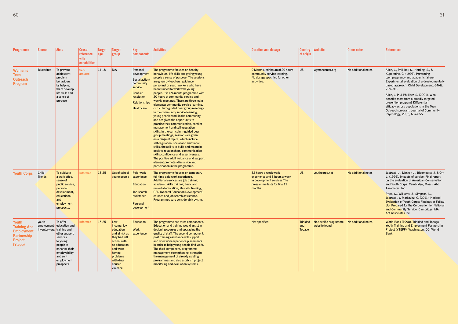| <b>Programme</b>                                                                       | Source                        | <b>Aims</b>                                                                                                                                                                                         | Cross-<br>reference<br>with<br>capabilities | <b>Target</b><br> age | <b>Target</b><br>group                                                                                                                                                  | Key<br>components                                                                                                                               | <b>Activities</b>                                                                                                                                                                                                                                                                                                                                                                                                                                                                                                                                                                                                                                                                                                                                                                                                                                                                                                                                                                                                                                           | <b>Duration and dosage</b>                                                                                                     | of origin                        | <b>Country Website</b>                 | Other notes         | References                                                                                                                                                                                                                                                                                                                                                                                                                                                                  |
|----------------------------------------------------------------------------------------|-------------------------------|-----------------------------------------------------------------------------------------------------------------------------------------------------------------------------------------------------|---------------------------------------------|-----------------------|-------------------------------------------------------------------------------------------------------------------------------------------------------------------------|-------------------------------------------------------------------------------------------------------------------------------------------------|-------------------------------------------------------------------------------------------------------------------------------------------------------------------------------------------------------------------------------------------------------------------------------------------------------------------------------------------------------------------------------------------------------------------------------------------------------------------------------------------------------------------------------------------------------------------------------------------------------------------------------------------------------------------------------------------------------------------------------------------------------------------------------------------------------------------------------------------------------------------------------------------------------------------------------------------------------------------------------------------------------------------------------------------------------------|--------------------------------------------------------------------------------------------------------------------------------|----------------------------------|----------------------------------------|---------------------|-----------------------------------------------------------------------------------------------------------------------------------------------------------------------------------------------------------------------------------------------------------------------------------------------------------------------------------------------------------------------------------------------------------------------------------------------------------------------------|
| <b>Wyman's</b><br><b>Teen</b><br><b>Outreach</b><br>Program                            | <b>Blueprints</b>             | To prevent<br>adolescent<br>problem<br>behaviours<br>by helping<br>them develop<br>life skills and<br>a sense of<br>purpose                                                                         | Self-<br>assured                            | 14-18                 | N/A                                                                                                                                                                     | Personal<br>development<br>Social action/<br>community<br>service<br><b>Conflict</b><br>resolution<br><b>Relationships</b><br><b>Healthcare</b> | The programme focuses on healthy<br>behaviours, life skills and giving young<br>people a sense of purpose. The sessions<br>are given by teachers, guidance<br>personnel or youth workers who have<br>been trained to work with young<br>people. It is a 9-month programme with<br>20 hours of community service and<br>weekly meetings. There are three main<br>elements: community service learning,<br>curriculum-guided peer group meetings.<br>In the community service learning,<br>young people work in the community,<br>and are given the opportunity to<br>practice their communication, conflict<br>management and self-regulation<br>skills. In the curriculum-guided peer<br>group meetings, sessions are given<br>on a range of topics, which include<br>self-regulation, social and emotional<br>skills, the ability to build and maintain<br>positive relationships, communication<br>skills, confidence and assertiveness.<br>The positive adult guidance and support<br>element promotes discussion and<br>participation in the programme. | 9 Months, minimum of 20 hours<br>community service learning.<br>No dosage specified for other<br>activities.                   | <b>US</b>                        | wymancenter.org                        | No additional notes | Allen, J., Philliber, S., Herrling, S., &<br>Kuperminc, G. (1997). Preventing<br>teen pregnancy and academic failure:<br>Experimental evaluation of a developmentally<br>based approach. Child Development, 64(4),<br>729-742.<br>Allen, J. P. & Philliber, S. (2001). Who<br>benefits most from a broadly targeted<br>prevention program? Differential<br>efficacy across populations in the Teen<br>Outreach program. Journal of Community<br>Psychology, 29(6), 637-655. |
| <b>Youth Corps</b>                                                                     | <b>Child</b><br><b>Trends</b> | To cultivate<br>a work ethic,<br>sense of<br>public service,<br>personal<br>development,<br>educational<br>and<br>employment<br>prospects.                                                          | <b>Informed</b>                             | 18-25                 | Out of school<br>young people                                                                                                                                           | Paid-work<br>$\epsilon$ experience<br><b>Education</b><br>Job-search<br>assistance<br>Personal<br>development                                   | The programme focuses on temporary<br>full-time paid work experience.<br>Additional services are job training,<br>academic skills training, basic and<br>remedial education, life skills training,<br><b>GED (General Education Development)</b><br>courses and job search assistance.<br>Programmes vary considerably by site.                                                                                                                                                                                                                                                                                                                                                                                                                                                                                                                                                                                                                                                                                                                             | 32 hours a week work<br>experience and 8 hours a week<br>in development services The<br>programme lasts for 6 to 12<br>months. | <b>US</b>                        | youthcorps.net                         | No additional notes | Jastrzab, J., Masker, J., Bloomquist, J. & Orr,<br>L. (1996). Impacts of service: Final report<br>on the evaluation of American Conservation<br>and Youth Corps. Cambridge, Mass.: Abt<br>Associates, Inc.<br>Price, C., Williams, J., Simpson, L.<br>Jastrzab., & Markovitz, C. (2011). National<br><b>Evaluation of Youth Corps: Findings at Follow</b><br>Up. Prepared for the Corporation for National<br>and Community Service. Cambridge, MA:<br>Abt Associates Inc.  |
| Youth<br><b>Training And</b><br><b>Employment</b><br>Partnership<br>Project<br>(Ytepp) | youth-                        | To offer<br>employment- education and<br>inventory.org training and<br>other support<br>services<br>to young<br>people to<br>enhance their<br>employability<br>and self-<br>employment<br>prospects | <b>Informed</b>                             | $15 - 25$             | Low<br>income, low<br>education<br>and at risk as<br>they had left<br>school with<br>no education<br>and were<br>having<br>problems<br>with drug<br>abuse/<br>violence. | <b>Education</b><br>Work<br>experience                                                                                                          | The programme has three components.<br><b>Education and training would assist in</b><br>designing courses and upgrading the<br>quality of staff. The second component,<br>post training assistance will support<br>and offer work experience placements<br>in order to help young people find work.<br>The third component, programme<br>management strengthening, strengths<br>the management of already existing<br>programmes and also establish project<br>monitoring and evaluation systems.                                                                                                                                                                                                                                                                                                                                                                                                                                                                                                                                                           | Not specified                                                                                                                  | <b>Trinidad</b><br>and<br>Tobago | No specific programme<br>website found | No additional notes | World Bank (1998). Trinidad and Tobago -<br>Youth Training and Employment Partnership<br>Project (YTEPP). Washington, DC: World<br>Bank.                                                                                                                                                                                                                                                                                                                                    |